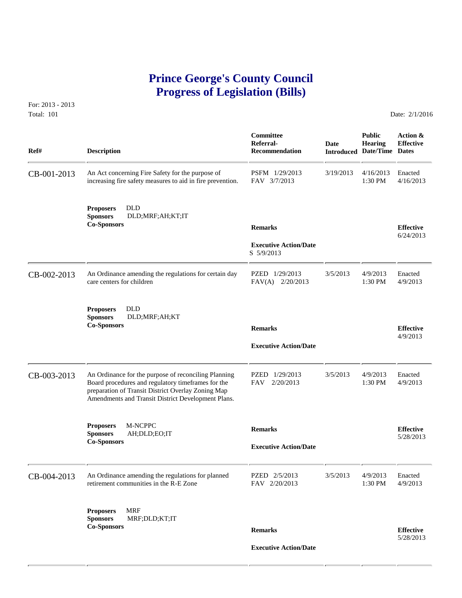## **Prince George's County Council Progress of Legislation (Bills)**

For: 2013 - 2013 Total: 101 Date: 2/1/2016

 **Committee Public Action & Referral- Date Hearing Effective Ref# Description Recommendation Introduced Date/Time Dates** CB-001-2013 An Act concerning Fire Safety for the purpose of PSFM 1/29/2013 3/19/2013 4/16/2013 Enacted increasing fire safety measures to aid in fire prevention. FAV 3/7/2013 1:30 PM 4/16/2013 increasing fire safety measures to aid in fire prevention. **Proposers** DLD **Sponsors** DLD;MRF;AH;KT;IT **Co-Sponsors Remarks Effective** 6/24/2013  **Executive Action/Date** S 5/9/2013 CB-002-2013 An Ordinance amending the regulations for certain day PZED 1/29/2013 3/5/2013 4/9/2013 Care centers for children FAV(A) 2/20/2013 1:30 PM 4/9/2013 care centers for children **Proposers DLD**<br>**Sponsors DLD Sponsors** DLD;MRF;AH;KT **Co-Sponsors Remarks Effective** 4/9/2013  **Executive Action/Date** CB-003-2013 An Ordinance for the purpose of reconciling Planning PZED 1/29/2013 3/5/2013 4/9/2013 Enacted Board procedures and regulatory time frames for the FAV 2/20/2013 1:30 PM 4/9/2013 Board procedures and regulatory timeframes for the preparation of Transit District Overlay Zoning Map Amendments and Transit District Development Plans. **Proposers M-NCPPC Remarks Effective Effective Effective Effective Effective Executive Action/Date Executive Action/Date Executive Action** CB-004-2013 An Ordinance amending the regulations for planned PZED 2/5/2013 3/5/2013 4/9/2013 Enacted retirement communities in the R-E Zone FAV 2/20/2013 1:30 PM 4/9/2013 retirement communities in the R-E Zone **Proposers** MRF **Sponsors** MRF;DLD;KT;IT **Co-Sponsors Remarks Effective** 5/28/2013  **Executive Action/Date**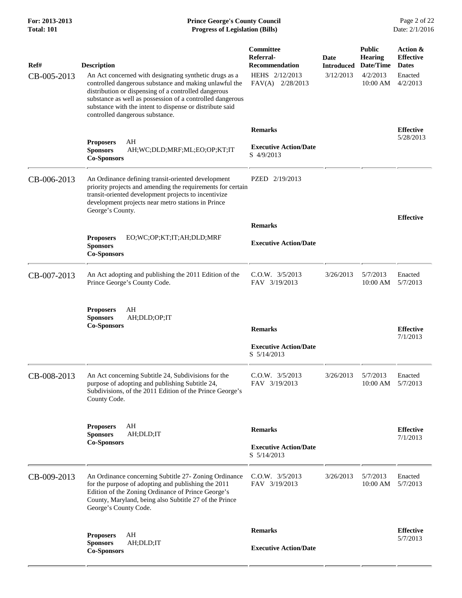## **For: 2013-2013 Prince George's County Council** Page 2 of 22<br>**Total: 101 Progress of Legislation (Bills)** Date: 2/1/2016 **Total: 101 Progress of Legislation (Bills)**

| Ref#        | <b>Description</b>                                                                                                                                                                                                                                                                                                                   | Committee<br>Referral-<br><b>Recommendation</b>               | Date<br><b>Introduced</b> | <b>Public</b><br><b>Hearing</b><br>Date/Time | Action &<br><b>Effective</b><br><b>Dates</b> |
|-------------|--------------------------------------------------------------------------------------------------------------------------------------------------------------------------------------------------------------------------------------------------------------------------------------------------------------------------------------|---------------------------------------------------------------|---------------------------|----------------------------------------------|----------------------------------------------|
| CB-005-2013 | An Act concerned with designating synthetic drugs as a<br>controlled dangerous substance and making unlawful the<br>distribution or dispensing of a controlled dangerous<br>substance as well as possession of a controlled dangerous<br>substance with the intent to dispense or distribute said<br>controlled dangerous substance. | HEHS 2/12/2013<br>FAV(A) 2/28/2013                            | 3/12/2013                 | 4/2/2013<br>10:00 AM                         | Enacted<br>4/2/2013                          |
|             |                                                                                                                                                                                                                                                                                                                                      | <b>Remarks</b>                                                |                           |                                              | <b>Effective</b>                             |
|             | AH<br><b>Proposers</b><br><b>Sponsors</b><br>AH;WC;DLD;MRF;ML;EO;OP;KT;IT<br><b>Co-Sponsors</b>                                                                                                                                                                                                                                      | <b>Executive Action/Date</b><br>S 4/9/2013                    |                           |                                              | 5/28/2013                                    |
| CB-006-2013 | An Ordinance defining transit-oriented development<br>priority projects and amending the requirements for certain<br>transit-oriented development projects to incentivize<br>development projects near metro stations in Prince<br>George's County.                                                                                  | PZED 2/19/2013                                                |                           |                                              |                                              |
|             |                                                                                                                                                                                                                                                                                                                                      | <b>Remarks</b>                                                |                           |                                              | <b>Effective</b>                             |
|             | EO;WC;OP;KT;IT;AH;DLD;MRF<br><b>Proposers</b><br><b>Sponsors</b><br><b>Co-Sponsors</b>                                                                                                                                                                                                                                               | <b>Executive Action/Date</b>                                  |                           |                                              |                                              |
| CB-007-2013 | An Act adopting and publishing the 2011 Edition of the<br>Prince George's County Code.                                                                                                                                                                                                                                               | $C.0.W.$ $3/5/2013$<br>FAV 3/19/2013                          | 3/26/2013                 | 5/7/2013<br>10:00 AM                         | Enacted<br>5/7/2013                          |
|             | AH<br><b>Proposers</b><br><b>Sponsors</b><br>AH;DLD;OP;IT<br><b>Co-Sponsors</b>                                                                                                                                                                                                                                                      |                                                               |                           |                                              |                                              |
|             |                                                                                                                                                                                                                                                                                                                                      | <b>Remarks</b><br><b>Executive Action/Date</b><br>S 5/14/2013 |                           |                                              | <b>Effective</b><br>7/1/2013                 |
| CB-008-2013 | An Act concerning Subtitle 24, Subdivisions for the<br>purpose of adopting and publishing Subtitle 24,<br>Subdivisions, of the 2011 Edition of the Prince George's<br>County Code.                                                                                                                                                   | $C.0.W.$ $3/5/2013$<br>FAV 3/19/2013                          | 3/26/2013                 | 5/7/2013<br>10:00 AM                         | Enacted<br>5/7/2013                          |
|             | AH<br><b>Proposers</b><br>AH;DLD;IT<br><b>Sponsors</b>                                                                                                                                                                                                                                                                               | <b>Remarks</b>                                                |                           |                                              | <b>Effective</b>                             |
|             | <b>Co-Sponsors</b>                                                                                                                                                                                                                                                                                                                   | <b>Executive Action/Date</b><br>S 5/14/2013                   |                           |                                              | 7/1/2013                                     |
| CB-009-2013 | An Ordinance concerning Subtitle 27- Zoning Ordinance<br>for the purpose of adopting and publishing the 2011<br>Edition of the Zoning Ordinance of Prince George's<br>County, Maryland, being also Subtitle 27 of the Prince<br>George's County Code.                                                                                | $C.0.W.$ $3/5/2013$<br>FAV 3/19/2013                          | 3/26/2013                 | 5/7/2013<br>10:00 AM                         | Enacted<br>5/7/2013                          |
|             | AH<br><b>Proposers</b><br>AH;DLD;IT<br><b>Sponsors</b>                                                                                                                                                                                                                                                                               | <b>Remarks</b><br><b>Executive Action/Date</b>                |                           |                                              | <b>Effective</b><br>5/7/2013                 |
|             | <b>Co-Sponsors</b>                                                                                                                                                                                                                                                                                                                   |                                                               |                           |                                              |                                              |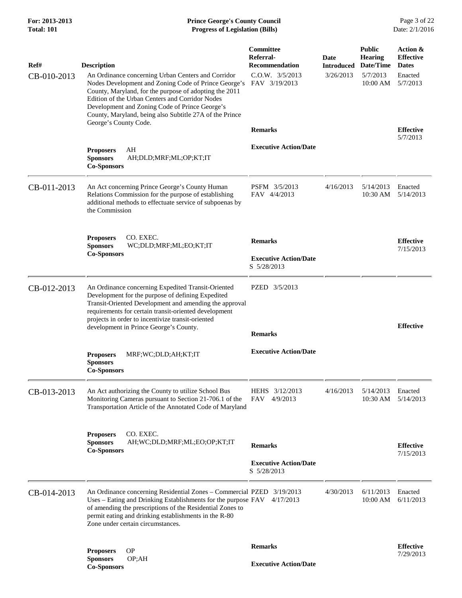| Ref#<br>CB-010-2013 | <b>Description</b><br>An Ordinance concerning Urban Centers and Corridor<br>Nodes Development and Zoning Code of Prince George's<br>County, Maryland, for the purpose of adopting the 2011<br>Edition of the Urban Centers and Corridor Nodes<br>Development and Zoning Code of Prince George's<br>County, Maryland, being also Subtitle 27A of the Prince<br>George's County Code. | Committee<br>Referral-<br>Recommendation<br>$C.0.W.$ $3/5/2013$<br>FAV 3/19/2013<br><b>Remarks</b> | Date<br><b>Introduced</b><br>3/26/2013 | <b>Public</b><br><b>Hearing</b><br>Date/Time<br>5/7/2013<br>$10:00$ AM | Action &<br><b>Effective</b><br><b>Dates</b><br>Enacted<br>5/7/2013<br><b>Effective</b><br>5/7/2013 |
|---------------------|-------------------------------------------------------------------------------------------------------------------------------------------------------------------------------------------------------------------------------------------------------------------------------------------------------------------------------------------------------------------------------------|----------------------------------------------------------------------------------------------------|----------------------------------------|------------------------------------------------------------------------|-----------------------------------------------------------------------------------------------------|
|                     | <b>Proposers</b><br>AH<br><b>Sponsors</b><br>AH;DLD;MRF;ML;OP;KT;IT<br><b>Co-Sponsors</b>                                                                                                                                                                                                                                                                                           | <b>Executive Action/Date</b>                                                                       |                                        |                                                                        |                                                                                                     |
| CB-011-2013         | An Act concerning Prince George's County Human<br>Relations Commission for the purpose of establishing<br>additional methods to effectuate service of subpoenas by<br>the Commission                                                                                                                                                                                                | PSFM 3/5/2013<br>FAV 4/4/2013                                                                      | 4/16/2013                              | 5/14/2013<br>10:30 AM                                                  | Enacted<br>5/14/2013                                                                                |
|                     | CO. EXEC.<br><b>Proposers</b><br><b>Sponsors</b><br>WC;DLD;MRF;ML;EO;KT;IT<br><b>Co-Sponsors</b>                                                                                                                                                                                                                                                                                    | <b>Remarks</b><br><b>Executive Action/Date</b><br>S 5/28/2013                                      |                                        |                                                                        | <b>Effective</b><br>7/15/2013                                                                       |
| CB-012-2013         | An Ordinance concerning Expedited Transit-Oriented<br>Development for the purpose of defining Expedited<br>Transit-Oriented Development and amending the approval<br>requirements for certain transit-oriented development<br>projects in order to incentivize transit-oriented<br>development in Prince George's County.                                                           | PZED 3/5/2013<br><b>Remarks</b>                                                                    |                                        |                                                                        | <b>Effective</b>                                                                                    |
|                     | <b>Proposers</b><br>MRF;WC;DLD;AH;KT;IT<br><b>Sponsors</b><br><b>Co-Sponsors</b>                                                                                                                                                                                                                                                                                                    | <b>Executive Action/Date</b>                                                                       |                                        |                                                                        |                                                                                                     |
| CB-013-2013         | An Act authorizing the County to utilize School Bus<br>Monitoring Cameras pursuant to Section 21-706.1 of the<br>Transportation Article of the Annotated Code of Maryland                                                                                                                                                                                                           | HEHS 3/12/2013<br>FAV 4/9/2013                                                                     | 4/16/2013                              | 5/14/2013<br>10:30 AM                                                  | Enacted<br>5/14/2013                                                                                |
|                     | CO. EXEC.<br><b>Proposers</b><br><b>Sponsors</b><br>AH;WC;DLD;MRF;ML;EO;OP;KT;IT<br><b>Co-Sponsors</b>                                                                                                                                                                                                                                                                              | <b>Remarks</b><br><b>Executive Action/Date</b><br>S 5/28/2013                                      |                                        |                                                                        | <b>Effective</b><br>7/15/2013                                                                       |
| CB-014-2013         | An Ordinance concerning Residential Zones – Commercial PZED 3/19/2013<br>Uses – Eating and Drinking Establishments for the purpose FAV<br>of amending the prescriptions of the Residential Zones to<br>permit eating and drinking establishments in the R-80<br>Zone under certain circumstances.                                                                                   | 4/17/2013                                                                                          | 4/30/2013                              | 6/11/2013<br>10:00 AM                                                  | Enacted<br>6/11/2013                                                                                |
|                     | <b>Proposers</b><br><b>OP</b><br>OP;AH<br><b>Sponsors</b><br><b>Co-Sponsors</b>                                                                                                                                                                                                                                                                                                     | <b>Remarks</b><br><b>Executive Action/Date</b>                                                     |                                        |                                                                        | <b>Effective</b><br>7/29/2013                                                                       |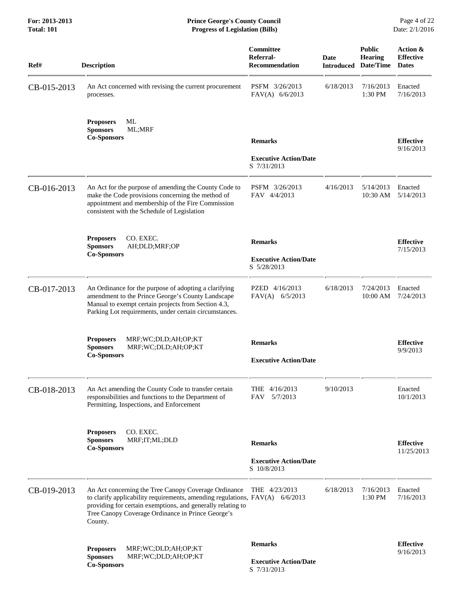| Ref#        | <b>Description</b>                                                                                                                                                                                                                                                    | Committee<br>Referral-<br><b>Recommendation</b> | <b>Date</b><br><b>Introduced</b> | <b>Public</b><br><b>Hearing</b><br>Date/Time | Action &<br><b>Effective</b><br><b>Dates</b> |
|-------------|-----------------------------------------------------------------------------------------------------------------------------------------------------------------------------------------------------------------------------------------------------------------------|-------------------------------------------------|----------------------------------|----------------------------------------------|----------------------------------------------|
| CB-015-2013 | An Act concerned with revising the current procurement<br>processes.                                                                                                                                                                                                  | PSFM 3/26/2013<br>$FAV(A)$ 6/6/2013             | 6/18/2013                        | 7/16/2013<br>1:30 PM                         | Enacted<br>7/16/2013                         |
|             | ML<br><b>Proposers</b><br><b>Sponsors</b><br>ML;MRF<br><b>Co-Sponsors</b>                                                                                                                                                                                             | <b>Remarks</b>                                  |                                  |                                              | <b>Effective</b><br>9/16/2013                |
|             |                                                                                                                                                                                                                                                                       | <b>Executive Action/Date</b><br>S 7/31/2013     |                                  |                                              |                                              |
| CB-016-2013 | An Act for the purpose of amending the County Code to<br>make the Code provisions concerning the method of<br>appointment and membership of the Fire Commission<br>consistent with the Schedule of Legislation                                                        | PSFM 3/26/2013<br>FAV 4/4/2013                  | 4/16/2013                        | 5/14/2013<br>10:30 AM                        | Enacted<br>5/14/2013                         |
|             | CO. EXEC.<br><b>Proposers</b><br><b>Sponsors</b><br>AH;DLD;MRF;OP                                                                                                                                                                                                     | <b>Remarks</b>                                  |                                  |                                              | <b>Effective</b>                             |
|             | <b>Co-Sponsors</b>                                                                                                                                                                                                                                                    | <b>Executive Action/Date</b><br>S 5/28/2013     |                                  |                                              | 7/15/2013                                    |
| CB-017-2013 | An Ordinance for the purpose of adopting a clarifying<br>amendment to the Prince George's County Landscape<br>Manual to exempt certain projects from Section 4.3,<br>Parking Lot requirements, under certain circumstances.                                           | PZED 4/16/2013<br>$FAV(A)$ 6/5/2013             | 6/18/2013                        | 7/24/2013<br>10:00 AM                        | Enacted<br>7/24/2013                         |
|             | <b>Proposers</b><br>MRF;WC;DLD;AH;OP;KT<br><b>Sponsors</b><br>MRF;WC;DLD;AH;OP;KT<br><b>Co-Sponsors</b>                                                                                                                                                               | <b>Remarks</b><br><b>Executive Action/Date</b>  |                                  |                                              | <b>Effective</b><br>9/9/2013                 |
| CB-018-2013 | An Act amending the County Code to transfer certain<br>responsibilities and functions to the Department of<br>Permitting, Inspections, and Enforcement                                                                                                                | THE 4/16/2013<br>5/7/2013<br>FAV                | 9/10/2013                        |                                              | Enacted<br>10/1/2013                         |
|             | CO. EXEC.<br><b>Proposers</b><br><b>Sponsors</b><br>MRF;IT;ML;DLD<br><b>Co-Sponsors</b>                                                                                                                                                                               | <b>Remarks</b>                                  |                                  |                                              | <b>Effective</b><br>11/25/2013               |
|             |                                                                                                                                                                                                                                                                       | <b>Executive Action/Date</b><br>S 10/8/2013     |                                  |                                              |                                              |
| CB-019-2013 | An Act concerning the Tree Canopy Coverage Ordinance<br>to clarify applicability requirements, amending regulations, $FAV(A)$ 6/6/2013<br>providing for certain exemptions, and generally relating to<br>Tree Canopy Coverage Ordinance in Prince George's<br>County. | THE 4/23/2013                                   | 6/18/2013                        | 7/16/2013<br>1:30 PM                         | Enacted<br>7/16/2013                         |
|             | <b>Proposers</b><br>MRF;WC;DLD;AH;OP;KT<br><b>Sponsors</b><br>MRF;WC;DLD;AH;OP;KT                                                                                                                                                                                     | <b>Remarks</b><br><b>Executive Action/Date</b>  |                                  |                                              | <b>Effective</b><br>9/16/2013                |
|             | <b>Co-Sponsors</b>                                                                                                                                                                                                                                                    | S 7/31/2013                                     |                                  |                                              |                                              |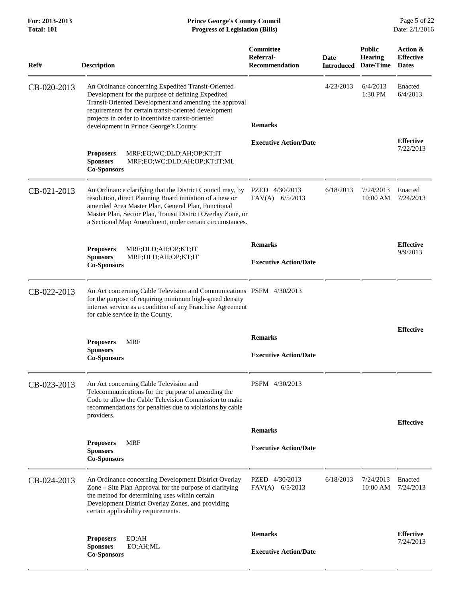| Ref#        | <b>Description</b>                                                                                                                                                                                                                                                                                                       | Committee<br>Referral-<br><b>Recommendation</b> | <b>Date</b> | <b>Public</b><br><b>Hearing</b><br><b>Introduced Date/Time</b> | Action &<br><b>Effective</b><br><b>Dates</b> |
|-------------|--------------------------------------------------------------------------------------------------------------------------------------------------------------------------------------------------------------------------------------------------------------------------------------------------------------------------|-------------------------------------------------|-------------|----------------------------------------------------------------|----------------------------------------------|
| CB-020-2013 | An Ordinance concerning Expedited Transit-Oriented<br>Development for the purpose of defining Expedited<br>Transit-Oriented Development and amending the approval<br>requirements for certain transit-oriented development<br>projects in order to incentivize transit-oriented<br>development in Prince George's County | <b>Remarks</b>                                  | 4/23/2013   | 6/4/2013<br>1:30 PM                                            | Enacted<br>6/4/2013                          |
|             | <b>Proposers</b><br>MRF;EO;WC;DLD;AH;OP;KT;IT<br><b>Sponsors</b><br>MRF;EO;WC;DLD;AH;OP;KT;IT;ML<br><b>Co-Sponsors</b>                                                                                                                                                                                                   | <b>Executive Action/Date</b>                    |             |                                                                | <b>Effective</b><br>7/22/2013                |
| CB-021-2013 | An Ordinance clarifying that the District Council may, by<br>resolution, direct Planning Board initiation of a new or<br>amended Area Master Plan, General Plan, Functional<br>Master Plan, Sector Plan, Transit District Overlay Zone, or<br>a Sectional Map Amendment, under certain circumstances.                    | PZED 4/30/2013<br>$FAV(A)$ 6/5/2013             | 6/18/2013   | 7/24/2013<br>10:00 AM                                          | Enacted<br>7/24/2013                         |
|             | <b>Proposers</b><br>MRF;DLD;AH;OP;KT;IT<br><b>Sponsors</b><br>MRF;DLD;AH;OP;KT;IT<br><b>Co-Sponsors</b>                                                                                                                                                                                                                  | <b>Remarks</b><br><b>Executive Action/Date</b>  |             |                                                                | <b>Effective</b><br>9/9/2013                 |
| CB-022-2013 | An Act concerning Cable Television and Communications PSFM 4/30/2013<br>for the purpose of requiring minimum high-speed density<br>internet service as a condition of any Franchise Agreement<br>for cable service in the County.                                                                                        |                                                 |             |                                                                |                                              |
|             | <b>MRF</b><br><b>Proposers</b><br><b>Sponsors</b><br><b>Co-Sponsors</b>                                                                                                                                                                                                                                                  | <b>Remarks</b><br><b>Executive Action/Date</b>  |             |                                                                | <b>Effective</b>                             |
| CB-023-2013 | An Act concerning Cable Television and<br>Telecommunications for the purpose of amending the<br>Code to allow the Cable Television Commission to make<br>recommendations for penalties due to violations by cable<br>providers.                                                                                          | PSFM 4/30/2013                                  |             |                                                                |                                              |
|             |                                                                                                                                                                                                                                                                                                                          | <b>Remarks</b>                                  |             |                                                                | <b>Effective</b>                             |
|             | <b>Proposers</b><br><b>MRF</b><br><b>Sponsors</b><br><b>Co-Sponsors</b>                                                                                                                                                                                                                                                  | <b>Executive Action/Date</b>                    |             |                                                                |                                              |
| CB-024-2013 | An Ordinance concerning Development District Overlay<br>Zone - Site Plan Approval for the purpose of clarifying<br>the method for determining uses within certain<br>Development District Overlay Zones, and providing<br>certain applicability requirements.                                                            | PZED 4/30/2013<br>$FAV(A)$ 6/5/2013             | 6/18/2013   | 7/24/2013<br>10:00 AM                                          | Enacted<br>7/24/2013                         |
|             | <b>Proposers</b><br>EO;AH                                                                                                                                                                                                                                                                                                | <b>Remarks</b>                                  |             |                                                                | <b>Effective</b>                             |
|             | <b>Sponsors</b><br>EO;AH;ML<br><b>Co-Sponsors</b>                                                                                                                                                                                                                                                                        | <b>Executive Action/Date</b>                    |             |                                                                | 7/24/2013                                    |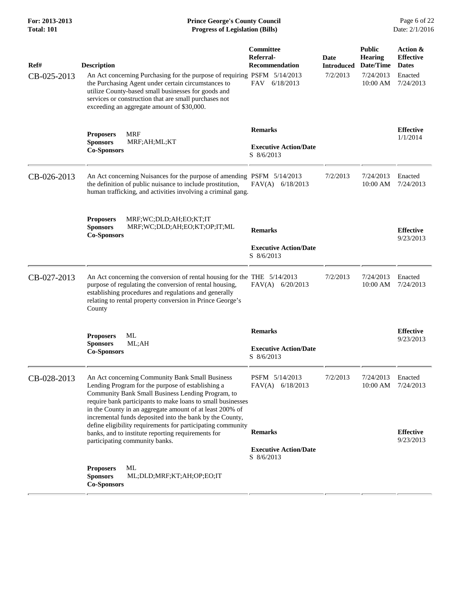| Ref#        | <b>Description</b>                                                                                                                                                                                                                                                                                                                                                                                              | Committee<br>Referral-<br><b>Recommendation</b>              | Date<br>Introduced | <b>Public</b><br><b>Hearing</b><br>Date/Time | Action &<br><b>Effective</b><br><b>Dates</b> |
|-------------|-----------------------------------------------------------------------------------------------------------------------------------------------------------------------------------------------------------------------------------------------------------------------------------------------------------------------------------------------------------------------------------------------------------------|--------------------------------------------------------------|--------------------|----------------------------------------------|----------------------------------------------|
| CB-025-2013 | An Act concerning Purchasing for the purpose of requiring PSFM 5/14/2013<br>the Purchasing Agent under certain circumstances to<br>utilize County-based small businesses for goods and<br>services or construction that are small purchases not<br>exceeding an aggregate amount of \$30,000.                                                                                                                   | FAV 6/18/2013                                                | 7/2/2013           | 7/24/2013<br>$10:00$ AM                      | Enacted<br>7/24/2013                         |
|             | <b>MRF</b><br><b>Proposers</b><br><b>Sponsors</b><br>MRF;AH;ML;KT<br><b>Co-Sponsors</b>                                                                                                                                                                                                                                                                                                                         | <b>Remarks</b><br><b>Executive Action/Date</b><br>S 8/6/2013 |                    |                                              | <b>Effective</b><br>1/1/2014                 |
| CB-026-2013 | An Act concerning Nuisances for the purpose of amending PSFM 5/14/2013<br>the definition of public nuisance to include prostitution,<br>human trafficking, and activities involving a criminal gang.                                                                                                                                                                                                            | $FAV(A)$ 6/18/2013                                           | 7/2/2013           | 7/24/2013<br>10:00 AM                        | Enacted<br>7/24/2013                         |
|             | MRF;WC;DLD;AH;EO;KT;IT<br><b>Proposers</b><br><b>Sponsors</b><br>MRF;WC;DLD;AH;EO;KT;OP;IT;ML<br><b>Co-Sponsors</b>                                                                                                                                                                                                                                                                                             | <b>Remarks</b><br><b>Executive Action/Date</b><br>S 8/6/2013 |                    |                                              | <b>Effective</b><br>9/23/2013                |
| CB-027-2013 | An Act concerning the conversion of rental housing for the THE 5/14/2013<br>purpose of regulating the conversion of rental housing,<br>establishing procedures and regulations and generally<br>relating to rental property conversion in Prince George's<br>County                                                                                                                                             | $FAV(A)$ 6/20/2013                                           | 7/2/2013           | 7/24/2013<br>10:00 AM                        | Enacted<br>7/24/2013                         |
|             | <b>Proposers</b><br>ML<br><b>Sponsors</b><br>ML;AH<br><b>Co-Sponsors</b>                                                                                                                                                                                                                                                                                                                                        | <b>Remarks</b><br><b>Executive Action/Date</b><br>S 8/6/2013 |                    |                                              | <b>Effective</b><br>9/23/2013                |
| CB-028-2013 | An Act concerning Community Bank Small Business<br>Lending Program for the purpose of establishing a<br>Community Bank Small Business Lending Program, to<br>require bank participants to make loans to small businesses<br>in the County in an aggregate amount of at least 200% of<br>incremental funds deposited into the bank by the County,<br>define eligibility requirements for participating community | PSFM 5/14/2013<br>FAV(A) 6/18/2013                           | 7/2/2013           | 7/24/2013                                    | Enacted<br>10:00 AM 7/24/2013                |
|             | banks, and to institute reporting requirements for<br>participating community banks.                                                                                                                                                                                                                                                                                                                            | <b>Remarks</b><br><b>Executive Action/Date</b><br>S 8/6/2013 |                    |                                              | <b>Effective</b><br>9/23/2013                |
|             | ML<br><b>Proposers</b><br><b>Sponsors</b><br>ML;DLD;MRF;KT;AH;OP;EO;IT<br><b>Co-Sponsors</b>                                                                                                                                                                                                                                                                                                                    |                                                              |                    |                                              |                                              |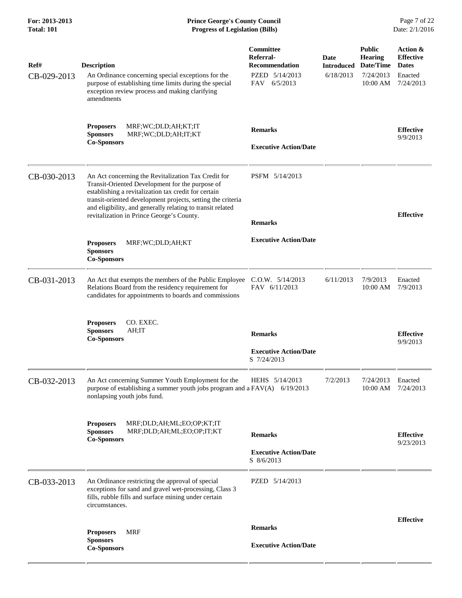| Ref#        | <b>Description</b>                                                                                                                                                                                                                                                                                                                       | <b>Committee</b><br>Referral-<br><b>Recommendation</b>        | Date<br><b>Introduced</b> | <b>Public</b><br><b>Hearing</b><br>Date/Time | Action &<br><b>Effective</b><br><b>Dates</b> |
|-------------|------------------------------------------------------------------------------------------------------------------------------------------------------------------------------------------------------------------------------------------------------------------------------------------------------------------------------------------|---------------------------------------------------------------|---------------------------|----------------------------------------------|----------------------------------------------|
| CB-029-2013 | An Ordinance concerning special exceptions for the<br>purpose of establishing time limits during the special<br>exception review process and making clarifying<br>amendments                                                                                                                                                             | PZED 5/14/2013<br>FAV 6/5/2013                                | 6/18/2013                 | 7/24/2013<br>$10:00$ AM                      | Enacted<br>7/24/2013                         |
|             | MRF;WC;DLD;AH;KT;IT<br><b>Proposers</b><br><b>Sponsors</b><br>MRF;WC;DLD;AH;IT;KT<br><b>Co-Sponsors</b>                                                                                                                                                                                                                                  | <b>Remarks</b><br><b>Executive Action/Date</b>                |                           |                                              | <b>Effective</b><br>9/9/2013                 |
| CB-030-2013 | An Act concerning the Revitalization Tax Credit for<br>Transit-Oriented Development for the purpose of<br>establishing a revitalization tax credit for certain<br>transit-oriented development projects, setting the criteria<br>and eligibility, and generally relating to transit related<br>revitalization in Prince George's County. | PSFM 5/14/2013<br><b>Remarks</b>                              |                           |                                              | <b>Effective</b>                             |
|             | <b>Proposers</b><br>MRF;WC;DLD;AH;KT<br><b>Sponsors</b><br><b>Co-Sponsors</b>                                                                                                                                                                                                                                                            | <b>Executive Action/Date</b>                                  |                           |                                              |                                              |
| CB-031-2013 | An Act that exempts the members of the Public Employee C.O.W. 5/14/2013<br>Relations Board from the residency requirement for<br>candidates for appointments to boards and commissions                                                                                                                                                   | FAV 6/11/2013                                                 | 6/11/2013                 | 7/9/2013<br>10:00 AM                         | Enacted<br>7/9/2013                          |
|             | CO. EXEC.<br><b>Proposers</b><br>AH;IT<br><b>Sponsors</b><br><b>Co-Sponsors</b>                                                                                                                                                                                                                                                          | <b>Remarks</b><br><b>Executive Action/Date</b><br>S 7/24/2013 |                           |                                              | <b>Effective</b><br>9/9/2013                 |
| CB-032-2013 | An Act concerning Summer Youth Employment for the<br>purpose of establishing a summer youth jobs program and a $FAV(A)$ 6/19/2013<br>nonlapsing youth jobs fund.                                                                                                                                                                         | HEHS 5/14/2013                                                | 7/2/2013                  | 7/24/2013                                    | Enacted<br>10:00 AM 7/24/2013                |
|             | MRF;DLD;AH;ML;EO;OP;KT;IT<br><b>Proposers</b><br><b>Sponsors</b><br>MRF;DLD;AH;ML;EO;OP;IT;KT<br><b>Co-Sponsors</b>                                                                                                                                                                                                                      | <b>Remarks</b><br><b>Executive Action/Date</b>                |                           |                                              | <b>Effective</b><br>9/23/2013                |
|             |                                                                                                                                                                                                                                                                                                                                          | S 8/6/2013                                                    |                           |                                              |                                              |
| CB-033-2013 | An Ordinance restricting the approval of special<br>exceptions for sand and gravel wet-processing, Class 3<br>fills, rubble fills and surface mining under certain<br>circumstances.                                                                                                                                                     | PZED 5/14/2013                                                |                           |                                              |                                              |
|             | MRF                                                                                                                                                                                                                                                                                                                                      | <b>Remarks</b>                                                |                           |                                              | <b>Effective</b>                             |
|             | <b>Proposers</b><br><b>Sponsors</b><br><b>Co-Sponsors</b>                                                                                                                                                                                                                                                                                | <b>Executive Action/Date</b>                                  |                           |                                              |                                              |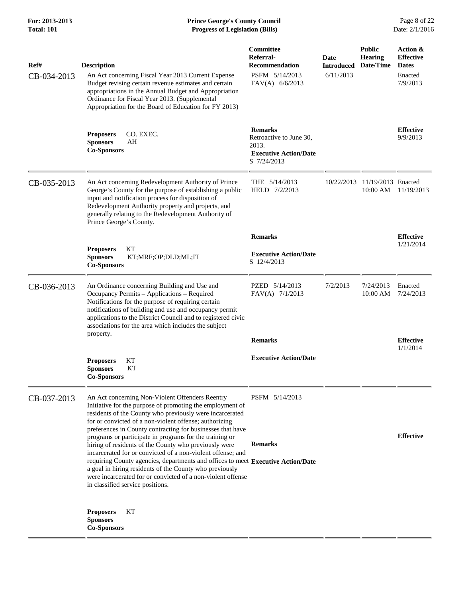| Ref#<br>CB-034-2013 | <b>Description</b><br>An Act concerning Fiscal Year 2013 Current Expense<br>Budget revising certain revenue estimates and certain<br>appropriations in the Annual Budget and Appropriation<br>Ordinance for Fiscal Year 2013. (Supplemental<br>Appropriation for the Board of Education for FY 2013)                                                                   | Committee<br>Referral-<br><b>Recommendation</b><br>PSFM 5/14/2013<br>$FAV(A)$ 6/6/2013            | <b>Date</b><br><b>Introduced</b><br>6/11/2013 | <b>Public</b><br><b>Hearing</b><br>Date/Time | Action &<br><b>Effective</b><br><b>Dates</b><br>Enacted<br>7/9/2013 |
|---------------------|------------------------------------------------------------------------------------------------------------------------------------------------------------------------------------------------------------------------------------------------------------------------------------------------------------------------------------------------------------------------|---------------------------------------------------------------------------------------------------|-----------------------------------------------|----------------------------------------------|---------------------------------------------------------------------|
|                     | <b>Proposers</b><br>CO. EXEC.<br><b>Sponsors</b><br>AH<br><b>Co-Sponsors</b>                                                                                                                                                                                                                                                                                           | <b>Remarks</b><br>Retroactive to June 30,<br>2013.<br><b>Executive Action/Date</b><br>S 7/24/2013 |                                               |                                              | <b>Effective</b><br>9/9/2013                                        |
| CB-035-2013         | An Act concerning Redevelopment Authority of Prince<br>George's County for the purpose of establishing a public<br>input and notification process for disposition of<br>Redevelopment Authority property and projects, and<br>generally relating to the Redevelopment Authority of<br>Prince George's County.                                                          | THE $5/14/2013$<br>HELD 7/2/2013                                                                  | 10/22/2013                                    | 11/19/2013 Enacted<br>10:00 AM               | 11/19/2013                                                          |
|                     |                                                                                                                                                                                                                                                                                                                                                                        | <b>Remarks</b>                                                                                    |                                               |                                              | <b>Effective</b>                                                    |
|                     | KТ<br><b>Proposers</b><br><b>Sponsors</b><br>KT;MRF;OP;DLD;ML;IT<br><b>Co-Sponsors</b>                                                                                                                                                                                                                                                                                 | <b>Executive Action/Date</b><br>S 12/4/2013                                                       |                                               |                                              | 1/21/2014                                                           |
| CB-036-2013         | An Ordinance concerning Building and Use and<br>Occupancy Permits - Applications - Required<br>Notifications for the purpose of requiring certain<br>notifications of building and use and occupancy permit<br>applications to the District Council and to registered civic<br>associations for the area which includes the subject                                    | PZED 5/14/2013<br>FAV(A) 7/1/2013                                                                 | 7/2/2013                                      | 7/24/2013<br>10:00 AM                        | Enacted<br>7/24/2013                                                |
|                     | property.                                                                                                                                                                                                                                                                                                                                                              | <b>Remarks</b>                                                                                    |                                               |                                              | <b>Effective</b>                                                    |
|                     | <b>Proposers</b><br>КT<br>KT<br><b>Sponsors</b><br><b>Co-Sponsors</b>                                                                                                                                                                                                                                                                                                  | <b>Executive Action/Date</b>                                                                      |                                               |                                              | 1/1/2014                                                            |
| CB-037-2013         | An Act concerning Non-Violent Offenders Reentry<br>Initiative for the purpose of promoting the employment of<br>residents of the County who previously were incarcerated<br>for or convicted of a non-violent offense; authorizing<br>preferences in County contracting for businesses that have<br>programs or participate in programs for the training or            | PSFM 5/14/2013                                                                                    |                                               |                                              | <b>Effective</b>                                                    |
|                     | hiring of residents of the County who previously were<br>incarcerated for or convicted of a non-violent offense; and<br>requiring County agencies, departments and offices to meet Executive Action/Date<br>a goal in hiring residents of the County who previously<br>were incarcerated for or convicted of a non-violent offense<br>in classified service positions. | <b>Remarks</b>                                                                                    |                                               |                                              |                                                                     |
|                     | KТ<br><b>Proposers</b><br><b>Sponsors</b><br><b>Co-Sponsors</b>                                                                                                                                                                                                                                                                                                        |                                                                                                   |                                               |                                              |                                                                     |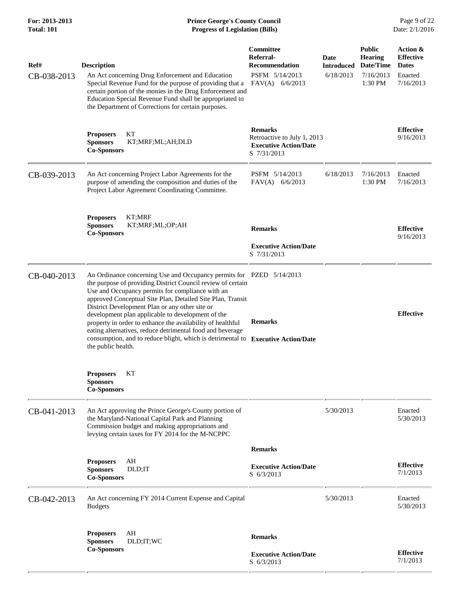## **For: 2013-2013 Prince George's County Council** Page 9 of 22<br> **Formal Prince George's County Council** Page 9 of 22<br> **Progress of Legislation (Bills)** Date: 2/1/2016 **Total: 101 Progress of Legislation (Bills)**

| Ref#<br>CB-038-2013 | <b>Description</b><br>An Act concerning Drug Enforcement and Education<br>Special Revenue Fund for the purpose of providing that a<br>certain portion of the monies in the Drug Enforcement and<br>Education Special Revenue Fund shall be appropriated to                                                                                                                                                                                                                                                                                                                                        | Committee<br>Referral-<br><b>Recommendation</b><br>PSFM 5/14/2013<br>$FAV(A)$ 6/6/2013       | Date<br><b>Introduced</b><br>6/18/2013 | <b>Public</b><br><b>Hearing</b><br>Date/Time<br>7/16/2013<br>1:30 PM | Action &<br><b>Effective</b><br><b>Dates</b><br>Enacted<br>7/16/2013 |
|---------------------|---------------------------------------------------------------------------------------------------------------------------------------------------------------------------------------------------------------------------------------------------------------------------------------------------------------------------------------------------------------------------------------------------------------------------------------------------------------------------------------------------------------------------------------------------------------------------------------------------|----------------------------------------------------------------------------------------------|----------------------------------------|----------------------------------------------------------------------|----------------------------------------------------------------------|
|                     | the Department of Corrections for certain purposes.<br><b>Proposers</b><br>KТ<br><b>Sponsors</b><br>KT;MRF;ML;AH;DLD<br><b>Co-Sponsors</b>                                                                                                                                                                                                                                                                                                                                                                                                                                                        | <b>Remarks</b><br>Retroactive to July 1, 2013<br><b>Executive Action/Date</b><br>S 7/31/2013 |                                        |                                                                      | <b>Effective</b><br>9/16/2013                                        |
| CB-039-2013         | An Act concerning Project Labor Agreements for the<br>purpose of amending the composition and duties of the<br>Project Labor Agreement Coordinating Committee.                                                                                                                                                                                                                                                                                                                                                                                                                                    | PSFM 5/14/2013<br>$FAV(A)$ 6/6/2013                                                          | 6/18/2013                              | 7/16/2013<br>1:30 PM                                                 | Enacted<br>7/16/2013                                                 |
|                     | KT;MRF<br><b>Proposers</b><br>KT;MRF;ML;OP;AH<br><b>Sponsors</b><br><b>Co-Sponsors</b>                                                                                                                                                                                                                                                                                                                                                                                                                                                                                                            | <b>Remarks</b><br><b>Executive Action/Date</b><br>S 7/31/2013                                |                                        |                                                                      | <b>Effective</b><br>9/16/2013                                        |
| CB-040-2013         | An Ordinance concerning Use and Occupancy permits for PZED 5/14/2013<br>the purpose of providing District Council review of certain<br>Use and Occupancy permits for compliance with an<br>approved Conceptual Site Plan, Detailed Site Plan, Transit<br>District Development Plan or any other site or<br>development plan applicable to development of the<br>property in order to enhance the availability of healthful<br>eating alternatives, reduce detrimental food and beverage<br>consumption, and to reduce blight, which is detrimental to Executive Action/Date<br>the public health. | <b>Remarks</b>                                                                               |                                        |                                                                      | <b>Effective</b>                                                     |
|                     | KТ<br><b>Proposers</b><br><b>Sponsors</b><br><b>Co-Sponsors</b>                                                                                                                                                                                                                                                                                                                                                                                                                                                                                                                                   |                                                                                              |                                        |                                                                      |                                                                      |
| CB-041-2013         | An Act approving the Prince George's County portion of<br>the Maryland-National Capital Park and Planning<br>Commission budget and making appropriations and<br>levying certain taxes for FY 2014 for the M-NCPPC                                                                                                                                                                                                                                                                                                                                                                                 |                                                                                              | 5/30/2013                              |                                                                      | Enacted<br>5/30/2013                                                 |
|                     |                                                                                                                                                                                                                                                                                                                                                                                                                                                                                                                                                                                                   | <b>Remarks</b>                                                                               |                                        |                                                                      |                                                                      |
|                     | AH<br><b>Proposers</b><br><b>Sponsors</b><br>DLD;IT<br><b>Co-Sponsors</b>                                                                                                                                                                                                                                                                                                                                                                                                                                                                                                                         | <b>Executive Action/Date</b><br>S 6/3/2013                                                   |                                        |                                                                      | <b>Effective</b><br>7/1/2013                                         |
| CB-042-2013         | An Act concerning FY 2014 Current Expense and Capital<br><b>Budgets</b>                                                                                                                                                                                                                                                                                                                                                                                                                                                                                                                           |                                                                                              | 5/30/2013                              |                                                                      | Enacted<br>5/30/2013                                                 |
|                     | <b>Proposers</b><br>AH<br>DLD;IT;WC<br><b>Sponsors</b>                                                                                                                                                                                                                                                                                                                                                                                                                                                                                                                                            | <b>Remarks</b>                                                                               |                                        |                                                                      |                                                                      |
|                     | <b>Co-Sponsors</b>                                                                                                                                                                                                                                                                                                                                                                                                                                                                                                                                                                                | <b>Executive Action/Date</b><br>S 6/3/2013                                                   |                                        |                                                                      | <b>Effective</b><br>7/1/2013                                         |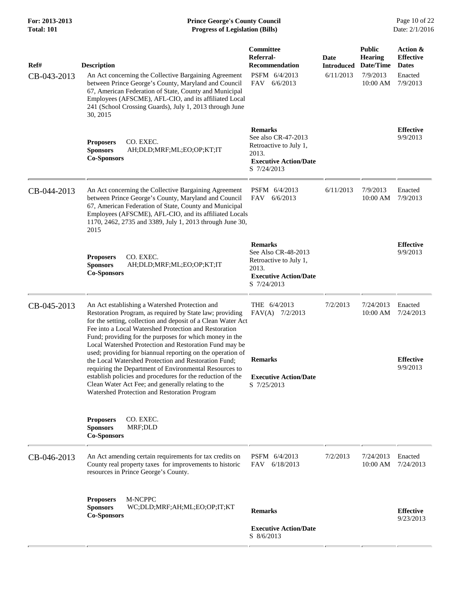| Ref#<br>CB-043-2013 | <b>Description</b><br>An Act concerning the Collective Bargaining Agreement<br>between Prince George's County, Maryland and Council<br>67, American Federation of State, County and Municipal<br>Employees (AFSCME), AFL-CIO, and its affiliated Local<br>241 (School Crossing Guards), July 1, 2013 through June<br>30, 2015                                                                                                                                                                                                                                                                                                                                                                                | <b>Committee</b><br>Referral-<br><b>Recommendation</b><br>PSFM 6/4/2013<br>FAV 6/6/2013                                 | <b>Date</b><br><b>Introduced</b><br>6/11/2013 | <b>Public</b><br>Hearing<br>Date/Time<br>7/9/2013<br>10:00 AM | Action &<br><b>Effective</b><br><b>Dates</b><br>Enacted<br>7/9/2013 |
|---------------------|--------------------------------------------------------------------------------------------------------------------------------------------------------------------------------------------------------------------------------------------------------------------------------------------------------------------------------------------------------------------------------------------------------------------------------------------------------------------------------------------------------------------------------------------------------------------------------------------------------------------------------------------------------------------------------------------------------------|-------------------------------------------------------------------------------------------------------------------------|-----------------------------------------------|---------------------------------------------------------------|---------------------------------------------------------------------|
|                     | CO. EXEC.<br><b>Proposers</b><br><b>Sponsors</b><br>AH;DLD;MRF;ML;EO;OP;KT;IT<br><b>Co-Sponsors</b>                                                                                                                                                                                                                                                                                                                                                                                                                                                                                                                                                                                                          | <b>Remarks</b><br>See also CR-47-2013<br>Retroactive to July 1,<br>2013.<br><b>Executive Action/Date</b><br>S 7/24/2013 |                                               |                                                               | <b>Effective</b><br>9/9/2013                                        |
| CB-044-2013         | An Act concerning the Collective Bargaining Agreement<br>between Prince George's County, Maryland and Council<br>67, American Federation of State, County and Municipal<br>Employees (AFSCME), AFL-CIO, and its affiliated Locals<br>1170, 2462, 2735 and 3389, July 1, 2013 through June 30,<br>2015                                                                                                                                                                                                                                                                                                                                                                                                        | PSFM 6/4/2013<br>6/6/2013<br>FAV                                                                                        | 6/11/2013                                     | 7/9/2013<br>10:00 AM                                          | Enacted<br>7/9/2013                                                 |
|                     | <b>Proposers</b><br>CO. EXEC.<br><b>Sponsors</b><br>AH;DLD;MRF;ML;EO;OP;KT;IT<br><b>Co-Sponsors</b>                                                                                                                                                                                                                                                                                                                                                                                                                                                                                                                                                                                                          | <b>Remarks</b><br>See Also CR-48-2013<br>Retroactive to July 1,<br>2013.<br><b>Executive Action/Date</b><br>S 7/24/2013 |                                               |                                                               | <b>Effective</b><br>9/9/2013                                        |
| CB-045-2013         | An Act establishing a Watershed Protection and<br>Restoration Program, as required by State law; providing<br>for the setting, collection and deposit of a Clean Water Act<br>Fee into a Local Watershed Protection and Restoration<br>Fund; providing for the purposes for which money in the<br>Local Watershed Protection and Restoration Fund may be<br>used; providing for biannual reporting on the operation of<br>the Local Watershed Protection and Restoration Fund;<br>requiring the Department of Environmental Resources to<br>establish policies and procedures for the reduction of the<br>Clean Water Act Fee; and generally relating to the<br>Watershed Protection and Restoration Program | THE 6/4/2013<br>$FAV(A)$ 7/2/2013<br><b>Remarks</b><br><b>Executive Action/Date</b><br>S 7/25/2013                      | 7/2/2013                                      | 7/24/2013<br>10:00 AM                                         | Enacted<br>7/24/2013<br><b>Effective</b><br>9/9/2013                |
|                     | CO. EXEC.<br><b>Proposers</b><br><b>Sponsors</b><br>MRF;DLD<br><b>Co-Sponsors</b>                                                                                                                                                                                                                                                                                                                                                                                                                                                                                                                                                                                                                            |                                                                                                                         |                                               |                                                               |                                                                     |
| CB-046-2013         | An Act amending certain requirements for tax credits on<br>County real property taxes for improvements to historic<br>resources in Prince George's County.                                                                                                                                                                                                                                                                                                                                                                                                                                                                                                                                                   | PSFM 6/4/2013<br>FAV<br>6/18/2013                                                                                       | 7/2/2013                                      | 7/24/2013<br>10:00 AM                                         | Enacted<br>7/24/2013                                                |
|                     | M-NCPPC<br><b>Proposers</b><br><b>Sponsors</b><br>WC;DLD;MRF;AH;ML;EO;OP;IT;KT<br><b>Co-Sponsors</b>                                                                                                                                                                                                                                                                                                                                                                                                                                                                                                                                                                                                         | <b>Remarks</b>                                                                                                          |                                               |                                                               | <b>Effective</b><br>9/23/2013                                       |
|                     |                                                                                                                                                                                                                                                                                                                                                                                                                                                                                                                                                                                                                                                                                                              | <b>Executive Action/Date</b><br>S 8/6/2013                                                                              |                                               |                                                               |                                                                     |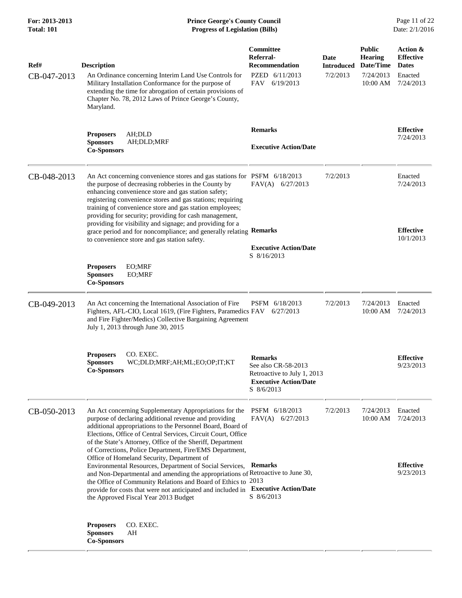| For: 2013-2013<br>Total: 101 | <b>Prince George's County Council</b><br><b>Progress of Legislation (Bills)</b>                                                                                                                                                                                                                                                                                                                                                                                                                                                                                                                                                                                                                                                            |                                                                                                                    |                                       |                                                                       | Page 11 of 22<br>Date: 2/1/2016                                      |
|------------------------------|--------------------------------------------------------------------------------------------------------------------------------------------------------------------------------------------------------------------------------------------------------------------------------------------------------------------------------------------------------------------------------------------------------------------------------------------------------------------------------------------------------------------------------------------------------------------------------------------------------------------------------------------------------------------------------------------------------------------------------------------|--------------------------------------------------------------------------------------------------------------------|---------------------------------------|-----------------------------------------------------------------------|----------------------------------------------------------------------|
| Ref#<br>CB-047-2013          | <b>Description</b><br>An Ordinance concerning Interim Land Use Controls for<br>Military Installation Conformance for the purpose of<br>extending the time for abrogation of certain provisions of<br>Chapter No. 78, 2012 Laws of Prince George's County,<br>Maryland.                                                                                                                                                                                                                                                                                                                                                                                                                                                                     | <b>Committee</b><br>Referral-<br><b>Recommendation</b><br>PZED 6/11/2013<br>FAV<br>6/19/2013                       | Date<br><b>Introduced</b><br>7/2/2013 | <b>Public</b><br><b>Hearing</b><br>Date/Time<br>7/24/2013<br>10:00 AM | Action &<br><b>Effective</b><br><b>Dates</b><br>Enacted<br>7/24/2013 |
|                              | AH;DLD<br><b>Proposers</b><br><b>Sponsors</b><br>AH;DLD;MRF<br><b>Co-Sponsors</b>                                                                                                                                                                                                                                                                                                                                                                                                                                                                                                                                                                                                                                                          | <b>Remarks</b><br><b>Executive Action/Date</b>                                                                     |                                       |                                                                       | <b>Effective</b><br>7/24/2013                                        |
| CB-048-2013                  | An Act concerning convenience stores and gas stations for PSFM 6/18/2013<br>the purpose of decreasing robberies in the County by<br>enhancing convenience store and gas station safety;<br>registering convenience stores and gas stations; requiring<br>training of convenience store and gas station employees;<br>providing for security; providing for cash management,<br>providing for visibility and signage; and providing for a<br>grace period and for noncompliance; and generally relating Remarks<br>to convenience store and gas station safety.                                                                                                                                                                             | $FAV(A)$ 6/27/2013                                                                                                 | 7/2/2013                              |                                                                       | Enacted<br>7/24/2013<br><b>Effective</b><br>10/1/2013                |
|                              | EO;MRF<br><b>Proposers</b><br><b>Sponsors</b><br>EO;MRF<br><b>Co-Sponsors</b>                                                                                                                                                                                                                                                                                                                                                                                                                                                                                                                                                                                                                                                              | <b>Executive Action/Date</b><br>S 8/16/2013                                                                        |                                       |                                                                       |                                                                      |
| CB-049-2013                  | An Act concerning the International Association of Fire<br>Fighters, AFL-CIO, Local 1619, (Fire Fighters, Paramedics FAV 6/27/2013<br>and Fire Fighter/Medics) Collective Bargaining Agreement<br>July 1, 2013 through June 30, 2015                                                                                                                                                                                                                                                                                                                                                                                                                                                                                                       | PSFM 6/18/2013                                                                                                     | 7/2/2013                              | 7/24/2013<br>10:00 AM                                                 | Enacted<br>7/24/2013                                                 |
|                              | CO. EXEC.<br><b>Proposers</b><br>WC;DLD;MRF;AH;ML;EO;OP;IT;KT<br><b>Sponsors</b><br><b>Co-Sponsors</b>                                                                                                                                                                                                                                                                                                                                                                                                                                                                                                                                                                                                                                     | <b>Remarks</b><br>See also CR-58-2013<br>Retroactive to July 1, 2013<br><b>Executive Action/Date</b><br>S 8/6/2013 |                                       |                                                                       | <b>Effective</b><br>9/23/2013                                        |
| CB-050-2013                  | An Act concerning Supplementary Appropriations for the<br>purpose of declaring additional revenue and providing<br>additional appropriations to the Personnel Board, Board of<br>Elections, Office of Central Services, Circuit Court, Office<br>of the State's Attorney, Office of the Sheriff, Department<br>of Corrections, Police Department, Fire/EMS Department,<br>Office of Homeland Security, Department of<br>Environmental Resources, Department of Social Services,<br>and Non-Departmental and amending the appropriations of Retroactive to June 30,<br>the Office of Community Relations and Board of Ethics to 2013<br>provide for costs that were not anticipated and included in<br>the Approved Fiscal Year 2013 Budget | PSFM 6/18/2013<br>$FAV(A)$ 6/27/2013<br><b>Remarks</b><br><b>Executive Action/Date</b><br>S 8/6/2013               | 7/2/2013                              | 7/24/2013<br>10:00 AM                                                 | Enacted<br>7/24/2013<br><b>Effective</b><br>9/23/2013                |
|                              | CO. EXEC.<br><b>Proposers</b><br><b>Sponsors</b><br>AH<br><b>Co-Sponsors</b>                                                                                                                                                                                                                                                                                                                                                                                                                                                                                                                                                                                                                                                               |                                                                                                                    |                                       |                                                                       |                                                                      |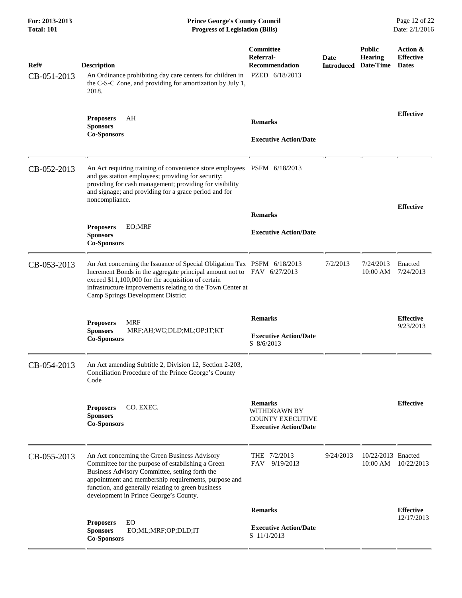| For: 2013-2013<br><b>Total: 101</b> | <b>Prince George's County Council</b><br>Page 12 of 22<br>Date: 2/1/2016<br><b>Progress of Legislation (Bills)</b>                                                                                                                                                                                           |                                                                                                  |                           |                                              |                                              |
|-------------------------------------|--------------------------------------------------------------------------------------------------------------------------------------------------------------------------------------------------------------------------------------------------------------------------------------------------------------|--------------------------------------------------------------------------------------------------|---------------------------|----------------------------------------------|----------------------------------------------|
| Ref#<br>CB-051-2013                 | <b>Description</b><br>An Ordinance prohibiting day care centers for children in<br>the C-S-C Zone, and providing for amortization by July 1,<br>2018.                                                                                                                                                        | Committee<br>Referral-<br>Recommendation<br>PZED 6/18/2013                                       | Date<br><b>Introduced</b> | <b>Public</b><br><b>Hearing</b><br>Date/Time | Action &<br><b>Effective</b><br><b>Dates</b> |
|                                     | AH<br><b>Proposers</b><br><b>Sponsors</b><br><b>Co-Sponsors</b>                                                                                                                                                                                                                                              | <b>Remarks</b><br><b>Executive Action/Date</b>                                                   |                           |                                              | <b>Effective</b>                             |
| CB-052-2013                         | An Act requiring training of convenience store employees PSFM 6/18/2013<br>and gas station employees; providing for security;<br>providing for cash management; providing for visibility<br>and signage; and providing for a grace period and for<br>noncompliance.                                          |                                                                                                  |                           |                                              | <b>Effective</b>                             |
|                                     |                                                                                                                                                                                                                                                                                                              | <b>Remarks</b>                                                                                   |                           |                                              |                                              |
|                                     | <b>Proposers</b><br>EO;MRF<br><b>Sponsors</b><br><b>Co-Sponsors</b>                                                                                                                                                                                                                                          | <b>Executive Action/Date</b>                                                                     |                           |                                              |                                              |
| CB-053-2013                         | An Act concerning the Issuance of Special Obligation Tax PSFM 6/18/2013<br>Increment Bonds in the aggregate principal amount not to FAV 6/27/2013<br>exceed \$11,100,000 for the acquisition of certain<br>infrastructure improvements relating to the Town Center at<br>Camp Springs Development District   |                                                                                                  | 7/2/2013                  | 7/24/2013<br>10:00 AM                        | Enacted<br>7/24/2013                         |
|                                     | <b>Proposers</b><br><b>MRF</b><br><b>Sponsors</b><br>MRF;AH;WC;DLD;ML;OP;IT;KT<br><b>Co-Sponsors</b>                                                                                                                                                                                                         | <b>Remarks</b><br><b>Executive Action/Date</b><br>S 8/6/2013                                     |                           |                                              | <b>Effective</b><br>9/23/2013                |
| CB-054-2013                         | An Act amending Subtitle 2, Division 12, Section 2-203,<br>Conciliation Procedure of the Prince George's County<br>Code                                                                                                                                                                                      |                                                                                                  |                           |                                              |                                              |
|                                     | CO. EXEC.<br><b>Proposers</b><br><b>Sponsors</b><br><b>Co-Sponsors</b>                                                                                                                                                                                                                                       | <b>Remarks</b><br><b>WITHDRAWN BY</b><br><b>COUNTY EXECUTIVE</b><br><b>Executive Action/Date</b> |                           |                                              | <b>Effective</b>                             |
| CB-055-2013                         | An Act concerning the Green Business Advisory<br>Committee for the purpose of establishing a Green<br>Business Advisory Committee, setting forth the<br>appointment and membership requirements, purpose and<br>function, and generally relating to green business<br>development in Prince George's County. | THE 7/2/2013<br>9/19/2013<br>FAV                                                                 | 9/24/2013                 | 10/22/2013 Enacted                           | 10:00 AM 10/22/2013                          |
|                                     |                                                                                                                                                                                                                                                                                                              | <b>Remarks</b>                                                                                   |                           |                                              | <b>Effective</b>                             |
|                                     | EO<br><b>Proposers</b><br><b>Sponsors</b><br>EO;ML;MRF;OP;DLD;IT<br><b>Co-Sponsors</b>                                                                                                                                                                                                                       | <b>Executive Action/Date</b><br>S 11/1/2013                                                      |                           |                                              | 12/17/2013                                   |
|                                     |                                                                                                                                                                                                                                                                                                              |                                                                                                  |                           |                                              |                                              |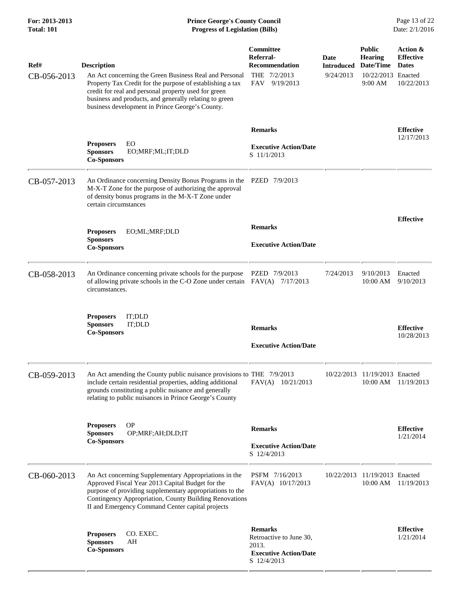| Ref#<br>CB-056-2013 | <b>Description</b><br>An Act concerning the Green Business Real and Personal<br>Property Tax Credit for the purpose of establishing a tax<br>credit for real and personal property used for green<br>business and products, and generally relating to green<br>business development in Prince George's County. | Committee<br>Referral-<br><b>Recommendation</b><br>THE 7/2/2013<br>FAV 9/19/2013                  | Date<br><b>Introduced</b><br>9/24/2013 | <b>Public</b><br><b>Hearing</b><br>Date/Time<br>10/22/2013 Enacted<br>9:00 AM | Action &<br><b>Effective</b><br><b>Dates</b><br>10/22/2013 |
|---------------------|----------------------------------------------------------------------------------------------------------------------------------------------------------------------------------------------------------------------------------------------------------------------------------------------------------------|---------------------------------------------------------------------------------------------------|----------------------------------------|-------------------------------------------------------------------------------|------------------------------------------------------------|
|                     | EO<br><b>Proposers</b><br><b>Sponsors</b><br>EO;MRF;ML;IT;DLD<br><b>Co-Sponsors</b>                                                                                                                                                                                                                            | <b>Remarks</b><br><b>Executive Action/Date</b><br>S 11/1/2013                                     |                                        |                                                                               | <b>Effective</b><br>12/17/2013                             |
| CB-057-2013         | An Ordinance concerning Density Bonus Programs in the PZED 7/9/2013<br>M-X-T Zone for the purpose of authorizing the approval<br>of density bonus programs in the M-X-T Zone under<br>certain circumstances                                                                                                    |                                                                                                   |                                        |                                                                               |                                                            |
|                     | <b>Proposers</b><br>EO;ML;MRF;DLD<br><b>Sponsors</b><br><b>Co-Sponsors</b>                                                                                                                                                                                                                                     | <b>Remarks</b><br><b>Executive Action/Date</b>                                                    |                                        |                                                                               | <b>Effective</b>                                           |
| CB-058-2013         | An Ordinance concerning private schools for the purpose<br>of allowing private schools in the C-O Zone under certain $FAV(A)$ 7/17/2013<br>circumstances.                                                                                                                                                      | PZED 7/9/2013                                                                                     | 7/24/2013                              | 9/10/2013<br>10:00 AM                                                         | Enacted<br>9/10/2013                                       |
|                     | IT;DLD<br><b>Proposers</b><br>IT;DLD<br><b>Sponsors</b><br><b>Co-Sponsors</b>                                                                                                                                                                                                                                  | <b>Remarks</b><br><b>Executive Action/Date</b>                                                    |                                        |                                                                               | <b>Effective</b><br>10/28/2013                             |
| CB-059-2013         | An Act amending the County public nuisance provisions to THE 7/9/2013<br>include certain residential properties, adding additional<br>grounds constituting a public nuisance and generally<br>relating to public nuisances in Prince George's County                                                           | FAV(A) 10/21/2013                                                                                 |                                        | 10/22/2013 11/19/2013 Enacted                                                 | 10:00 AM 11/19/2013                                        |
|                     | <b>OP</b><br><b>Proposers</b><br><b>Sponsors</b><br>OP;MRF;AH;DLD;IT<br><b>Co-Sponsors</b>                                                                                                                                                                                                                     | <b>Remarks</b><br><b>Executive Action/Date</b><br>S 12/4/2013                                     |                                        |                                                                               | <b>Effective</b><br>1/21/2014                              |
| CB-060-2013         | An Act concerning Supplementary Appropriations in the<br>Approved Fiscal Year 2013 Capital Budget for the<br>purpose of providing supplementary appropriations to the<br>Contingency Appropriation, County Building Renovations<br>II and Emergency Command Center capital projects                            | PSFM 7/16/2013<br>FAV(A) 10/17/2013                                                               |                                        | 10/22/2013 11/19/2013 Enacted<br>10:00 AM                                     | 11/19/2013                                                 |
|                     | CO. EXEC.<br><b>Proposers</b><br><b>Sponsors</b><br>AH<br><b>Co-Sponsors</b>                                                                                                                                                                                                                                   | <b>Remarks</b><br>Retroactive to June 30,<br>2013.<br><b>Executive Action/Date</b><br>S 12/4/2013 |                                        |                                                                               | <b>Effective</b><br>1/21/2014                              |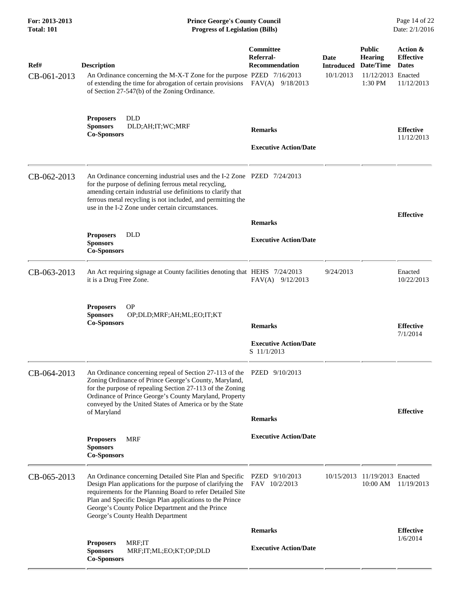| For: 2013-2013<br><b>Total: 101</b> | <b>Prince George's County Council</b><br><b>Progress of Legislation (Bills)</b>                                                                                                                                                                                                                                                          |                                                        |                           |                                              | Page 14 of 22<br>Date: 2/1/2016                                           |
|-------------------------------------|------------------------------------------------------------------------------------------------------------------------------------------------------------------------------------------------------------------------------------------------------------------------------------------------------------------------------------------|--------------------------------------------------------|---------------------------|----------------------------------------------|---------------------------------------------------------------------------|
| Ref#                                | <b>Description</b>                                                                                                                                                                                                                                                                                                                       | <b>Committee</b><br>Referral-<br><b>Recommendation</b> | Date<br><b>Introduced</b> | <b>Public</b><br><b>Hearing</b><br>Date/Time | Action &<br><b>Effective</b><br><b>Dates</b>                              |
| CB-061-2013                         | An Ordinance concerning the M-X-T Zone for the purpose PZED 7/16/2013<br>of extending the time for abrogation of certain provisions<br>of Section 27-547(b) of the Zoning Ordinance.                                                                                                                                                     | $FAV(A)$ 9/18/2013                                     | 10/1/2013                 | 11/12/2013 Enacted<br>1:30 PM                | 11/12/2013                                                                |
|                                     | <b>Proposers</b><br><b>DLD</b><br>DLD;AH;IT;WC;MRF<br><b>Sponsors</b><br><b>Co-Sponsors</b>                                                                                                                                                                                                                                              | <b>Remarks</b>                                         |                           |                                              | <b>Effective</b><br>11/12/2013                                            |
|                                     |                                                                                                                                                                                                                                                                                                                                          | <b>Executive Action/Date</b>                           |                           |                                              |                                                                           |
| CB-062-2013                         | An Ordinance concerning industrial uses and the I-2 Zone PZED 7/24/2013<br>for the purpose of defining ferrous metal recycling,<br>amending certain industrial use definitions to clarify that<br>ferrous metal recycling is not included, and permitting the<br>use in the I-2 Zone under certain circumstances.                        |                                                        |                           |                                              |                                                                           |
|                                     |                                                                                                                                                                                                                                                                                                                                          | <b>Remarks</b>                                         |                           |                                              |                                                                           |
|                                     | <b>DLD</b><br><b>Proposers</b><br><b>Sponsors</b><br><b>Co-Sponsors</b>                                                                                                                                                                                                                                                                  | <b>Executive Action/Date</b>                           |                           |                                              |                                                                           |
| CB-063-2013                         | An Act requiring signage at County facilities denoting that HEHS 7/24/2013<br>it is a Drug Free Zone.                                                                                                                                                                                                                                    | $FAV(A)$ 9/12/2013                                     | 9/24/2013                 |                                              | <b>Effective</b><br>Enacted<br>10/22/2013<br><b>Effective</b><br>7/1/2014 |
|                                     | <b>Proposers</b><br><b>OP</b><br><b>Sponsors</b><br>OP;DLD;MRF;AH;ML;EO;IT;KT<br><b>Co-Sponsors</b>                                                                                                                                                                                                                                      | <b>Remarks</b>                                         |                           |                                              |                                                                           |
|                                     |                                                                                                                                                                                                                                                                                                                                          | <b>Executive Action/Date</b><br>S 11/1/2013            |                           |                                              |                                                                           |
| CB-064-2013                         | An Ordinance concerning repeal of Section 27-113 of the<br>Zoning Ordinance of Prince George's County, Maryland,<br>for the purpose of repealing Section 27-113 of the Zoning<br>Ordinance of Prince George's County Maryland, Property<br>conveyed by the United States of America or by the State<br>of Maryland                       | PZED 9/10/2013                                         |                           |                                              | <b>Effective</b>                                                          |
|                                     |                                                                                                                                                                                                                                                                                                                                          | <b>Remarks</b>                                         |                           |                                              |                                                                           |
|                                     | <b>MRF</b><br><b>Proposers</b><br><b>Sponsors</b><br><b>Co-Sponsors</b>                                                                                                                                                                                                                                                                  | <b>Executive Action/Date</b>                           |                           |                                              |                                                                           |
| CB-065-2013                         | An Ordinance concerning Detailed Site Plan and Specific<br>Design Plan applications for the purpose of clarifying the<br>requirements for the Planning Board to refer Detailed Site<br>Plan and Specific Design Plan applications to the Prince<br>George's County Police Department and the Prince<br>George's County Health Department | PZED 9/10/2013<br>FAV 10/2/2013                        | 10/15/2013                | 11/19/2013 Enacted<br>10:00 AM               | 11/19/2013                                                                |
|                                     |                                                                                                                                                                                                                                                                                                                                          | <b>Remarks</b>                                         |                           |                                              | <b>Effective</b><br>1/6/2014                                              |
|                                     | MRF;IT<br><b>Proposers</b><br><b>Sponsors</b><br>MRF;IT;ML;EO;KT;OP;DLD<br><b>Co-Sponsors</b>                                                                                                                                                                                                                                            | <b>Executive Action/Date</b>                           |                           |                                              |                                                                           |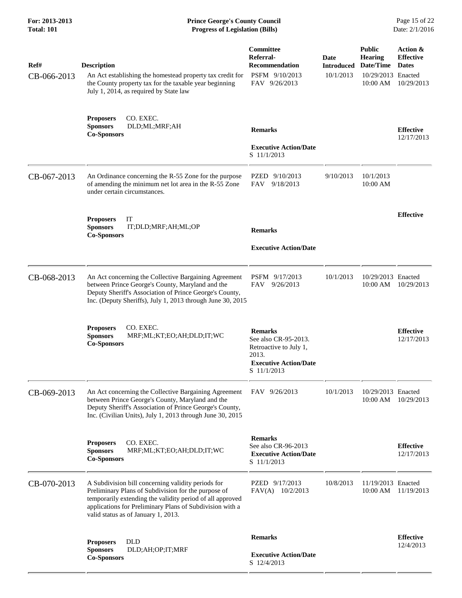| For: 2013-2013<br><b>Total: 101</b> | <b>Prince George's County Council</b><br><b>Progress of Legislation (Bills)</b>                                                                                                                                                                                           |                                                                                                                          |                                        |                                                                                | Page 15 of 22<br>Date: 2/1/2016                            |
|-------------------------------------|---------------------------------------------------------------------------------------------------------------------------------------------------------------------------------------------------------------------------------------------------------------------------|--------------------------------------------------------------------------------------------------------------------------|----------------------------------------|--------------------------------------------------------------------------------|------------------------------------------------------------|
| Ref#<br>CB-066-2013                 | <b>Description</b><br>An Act establishing the homestead property tax credit for<br>the County property tax for the taxable year beginning<br>July 1, 2014, as required by State law                                                                                       | Committee<br>Referral-<br><b>Recommendation</b><br>PSFM 9/10/2013<br>FAV 9/26/2013                                       | Date<br><b>Introduced</b><br>10/1/2013 | <b>Public</b><br><b>Hearing</b><br>Date/Time<br>10/29/2013 Enacted<br>10:00 AM | Action &<br><b>Effective</b><br><b>Dates</b><br>10/29/2013 |
|                                     | <b>Proposers</b><br>CO. EXEC.<br><b>Sponsors</b><br>DLD;ML;MRF;AH<br><b>Co-Sponsors</b>                                                                                                                                                                                   | <b>Remarks</b><br><b>Executive Action/Date</b><br>S 11/1/2013                                                            |                                        |                                                                                | <b>Effective</b><br>12/17/2013                             |
| CB-067-2013                         | An Ordinance concerning the R-55 Zone for the purpose<br>of amending the minimum net lot area in the R-55 Zone<br>under certain circumstances.                                                                                                                            | PZED 9/10/2013<br>FAV<br>9/18/2013                                                                                       | 9/10/2013                              | 10/1/2013<br>10:00 AM                                                          |                                                            |
|                                     | IT<br><b>Proposers</b><br><b>Sponsors</b><br>IT; DLD; MRF; AH; ML; OP<br><b>Co-Sponsors</b>                                                                                                                                                                               | <b>Remarks</b><br><b>Executive Action/Date</b>                                                                           |                                        |                                                                                | <b>Effective</b>                                           |
| CB-068-2013                         | An Act concerning the Collective Bargaining Agreement<br>between Prince George's County, Maryland and the<br>Deputy Sheriff's Association of Prince George's County,<br>Inc. (Deputy Sheriffs), July 1, 2013 through June 30, 2015                                        | PSFM 9/17/2013<br>FAV 9/26/2013                                                                                          | 10/1/2013                              | 10/29/2013 Enacted<br>10:00 AM                                                 | 10/29/2013                                                 |
|                                     | CO. EXEC.<br><b>Proposers</b><br><b>Sponsors</b><br>MRF;ML;KT;EO;AH;DLD;IT;WC<br><b>Co-Sponsors</b>                                                                                                                                                                       | <b>Remarks</b><br>See also CR-95-2013.<br>Retroactive to July 1,<br>2013.<br><b>Executive Action/Date</b><br>S 11/1/2013 |                                        |                                                                                | <b>Effective</b><br>12/17/2013                             |
| CB-069-2013                         | An Act concerning the Collective Bargaining Agreement<br>between Prince George's County, Maryland and the<br>Deputy Sheriff's Association of Prince George's County,<br>Inc. (Civilian Units), July 1, 2013 through June 30, 2015                                         | FAV 9/26/2013                                                                                                            | 10/1/2013                              | 10/29/2013 Enacted<br>10:00 AM                                                 | 10/29/2013                                                 |
|                                     | CO. EXEC.<br><b>Proposers</b><br><b>Sponsors</b><br>MRF;ML;KT;EO;AH;DLD;IT;WC<br><b>Co-Sponsors</b>                                                                                                                                                                       | <b>Remarks</b><br>See also CR-96-2013<br><b>Executive Action/Date</b><br>S 11/1/2013                                     |                                        |                                                                                | <b>Effective</b><br>12/17/2013                             |
| CB-070-2013                         | A Subdivision bill concerning validity periods for<br>Preliminary Plans of Subdivision for the purpose of<br>temporarily extending the validity period of all approved<br>applications for Preliminary Plans of Subdivision with a<br>valid status as of January 1, 2013. | PZED 9/17/2013<br>FAV(A)<br>10/2/2013                                                                                    | 10/8/2013                              | 11/19/2013 Enacted<br>10:00 AM                                                 | 11/19/2013                                                 |
|                                     | <b>Proposers</b><br><b>DLD</b><br><b>Sponsors</b><br>DLD;AH;OP;IT;MRF<br><b>Co-Sponsors</b>                                                                                                                                                                               | <b>Remarks</b><br><b>Executive Action/Date</b><br>S 12/4/2013                                                            |                                        |                                                                                | <b>Effective</b><br>12/4/2013                              |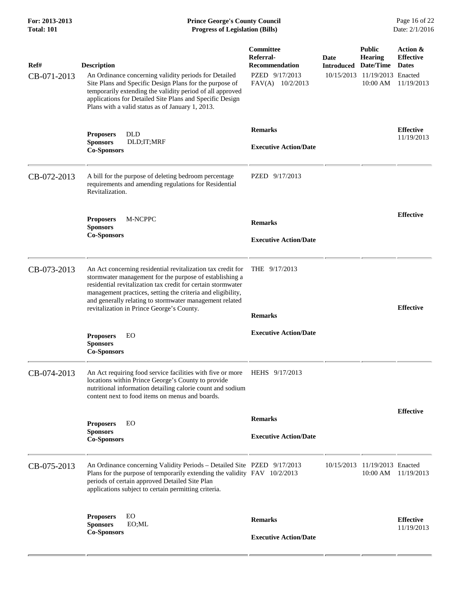## **For: 2013-2013 Prince George's County Council** Page 16 of 22<br> **Prince George's County Council** Page 16 of 22<br> **Progress of Legislation (Bills)** Date: 2/1/2016 **Total: 101 Progress of Legislation (Bills)**

| Ref#<br>CB-071-2013 | <b>Description</b><br>An Ordinance concerning validity periods for Detailed<br>Site Plans and Specific Design Plans for the purpose of<br>temporarily extending the validity period of all approved<br>applications for Detailed Site Plans and Specific Design<br>Plans with a valid status as of January 1, 2013.                                           | <b>Committee</b><br>Referral-<br><b>Recommendation</b><br>PZED 9/17/2013<br>$FAV(A)$ 10/2/2013 | Date<br><b>Introduced</b><br>10/15/2013 | <b>Public</b><br><b>Hearing</b><br>Date/Time<br>11/19/2013 Enacted<br>10:00 AM | Action &<br><b>Effective</b><br><b>Dates</b><br>11/19/2013 |
|---------------------|---------------------------------------------------------------------------------------------------------------------------------------------------------------------------------------------------------------------------------------------------------------------------------------------------------------------------------------------------------------|------------------------------------------------------------------------------------------------|-----------------------------------------|--------------------------------------------------------------------------------|------------------------------------------------------------|
|                     | <b>DLD</b><br><b>Proposers</b><br><b>Sponsors</b><br>DLD; IT; MRF<br><b>Co-Sponsors</b>                                                                                                                                                                                                                                                                       | <b>Remarks</b><br><b>Executive Action/Date</b>                                                 |                                         |                                                                                | <b>Effective</b><br>11/19/2013                             |
| CB-072-2013         | A bill for the purpose of deleting bedroom percentage<br>requirements and amending regulations for Residential<br>Revitalization.                                                                                                                                                                                                                             | PZED 9/17/2013                                                                                 |                                         |                                                                                |                                                            |
|                     | M-NCPPC<br><b>Proposers</b><br><b>Sponsors</b><br><b>Co-Sponsors</b>                                                                                                                                                                                                                                                                                          | <b>Remarks</b><br><b>Executive Action/Date</b>                                                 |                                         |                                                                                | <b>Effective</b>                                           |
| CB-073-2013         | An Act concerning residential revitalization tax credit for<br>stormwater management for the purpose of establishing a<br>residential revitalization tax credit for certain stormwater<br>management practices, setting the criteria and eligibility,<br>and generally relating to stormwater management related<br>revitalization in Prince George's County. | THE $9/17/2013$<br><b>Remarks</b>                                                              |                                         |                                                                                | <b>Effective</b>                                           |
|                     | EO<br><b>Proposers</b><br><b>Sponsors</b><br><b>Co-Sponsors</b>                                                                                                                                                                                                                                                                                               | <b>Executive Action/Date</b>                                                                   |                                         |                                                                                |                                                            |
| CB-074-2013         | An Act requiring food service facilities with five or more<br>locations within Prince George's County to provide<br>nutritional information detailing calorie count and sodium<br>content next to food items on menus and boards.                                                                                                                             | HEHS 9/17/2013                                                                                 |                                         |                                                                                |                                                            |
|                     | EO<br><b>Proposers</b><br><b>Sponsors</b><br><b>Co-Sponsors</b>                                                                                                                                                                                                                                                                                               | <b>Remarks</b><br><b>Executive Action/Date</b>                                                 |                                         |                                                                                | <b>Effective</b>                                           |
| CB-075-2013         | An Ordinance concerning Validity Periods - Detailed Site PZED 9/17/2013<br>Plans for the purpose of temporarily extending the validity FAV 10/2/2013<br>periods of certain approved Detailed Site Plan<br>applications subject to certain permitting criteria.                                                                                                |                                                                                                |                                         | 10/15/2013 11/19/2013 Enacted<br>10:00 AM                                      | 11/19/2013                                                 |
|                     | EO<br><b>Proposers</b><br><b>Sponsors</b><br>EO;ML<br><b>Co-Sponsors</b>                                                                                                                                                                                                                                                                                      | <b>Remarks</b><br><b>Executive Action/Date</b>                                                 |                                         |                                                                                | <b>Effective</b><br>11/19/2013                             |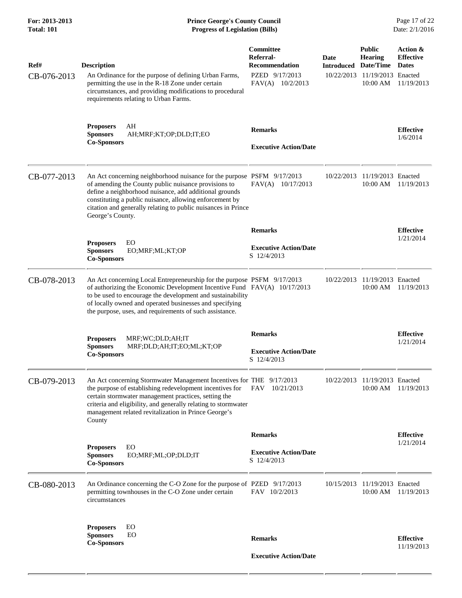| For: 2013-2013<br><b>Total: 101</b> | <b>Prince George's County Council</b><br><b>Progress of Legislation (Bills)</b>                                                                                                                                                                                                                                                          |                                                                                                |                                         |                                                                                | Page 17 of 22<br>Date: 2/1/2016                            |
|-------------------------------------|------------------------------------------------------------------------------------------------------------------------------------------------------------------------------------------------------------------------------------------------------------------------------------------------------------------------------------------|------------------------------------------------------------------------------------------------|-----------------------------------------|--------------------------------------------------------------------------------|------------------------------------------------------------|
| Ref#<br>CB-076-2013                 | <b>Description</b><br>An Ordinance for the purpose of defining Urban Farms,<br>permitting the use in the R-18 Zone under certain<br>circumstances, and providing modifications to procedural<br>requirements relating to Urban Farms.                                                                                                    | <b>Committee</b><br>Referral-<br><b>Recommendation</b><br>PZED 9/17/2013<br>$FAV(A)$ 10/2/2013 | Date<br><b>Introduced</b><br>10/22/2013 | <b>Public</b><br><b>Hearing</b><br>Date/Time<br>11/19/2013 Enacted<br>10:00 AM | Action &<br><b>Effective</b><br><b>Dates</b><br>11/19/2013 |
|                                     | AH<br><b>Proposers</b><br><b>Sponsors</b><br>AH;MRF;KT;OP;DLD;IT;EO<br><b>Co-Sponsors</b>                                                                                                                                                                                                                                                | <b>Remarks</b><br><b>Executive Action/Date</b>                                                 |                                         |                                                                                | <b>Effective</b><br>1/6/2014                               |
| CB-077-2013                         | An Act concerning neighborhood nuisance for the purpose PSFM 9/17/2013<br>of amending the County public nuisance provisions to<br>define a neighborhood nuisance, add additional grounds<br>constituting a public nuisance, allowing enforcement by<br>citation and generally relating to public nuisances in Prince<br>George's County. | FAV(A) 10/17/2013                                                                              | 10/22/2013                              | 11/19/2013 Enacted<br>10:00 AM                                                 | 11/19/2013                                                 |
|                                     |                                                                                                                                                                                                                                                                                                                                          | <b>Remarks</b>                                                                                 |                                         |                                                                                | <b>Effective</b>                                           |
|                                     | <b>Proposers</b><br>EO<br><b>Sponsors</b><br>EO;MRF;ML;KT;OP<br><b>Co-Sponsors</b>                                                                                                                                                                                                                                                       | <b>Executive Action/Date</b><br>S 12/4/2013                                                    |                                         |                                                                                | 1/21/2014                                                  |
| CB-078-2013                         | An Act concerning Local Entrepreneurship for the purpose PSFM 9/17/2013<br>of authorizing the Economic Development Incentive Fund FAV(A) 10/17/2013<br>to be used to encourage the development and sustainability<br>of locally owned and operated businesses and specifying<br>the purpose, uses, and requirements of such assistance.  |                                                                                                | 10/22/2013                              | 11/19/2013 Enacted<br>10:00 AM                                                 | 11/19/2013                                                 |
|                                     |                                                                                                                                                                                                                                                                                                                                          | <b>Remarks</b>                                                                                 |                                         |                                                                                | <b>Effective</b>                                           |
|                                     | MRF;WC;DLD;AH;IT<br><b>Proposers</b><br>MRF;DLD;AH;IT;EO;ML;KT;OP<br><b>Sponsors</b><br><b>Co-Sponsors</b>                                                                                                                                                                                                                               | <b>Executive Action/Date</b><br>S 12/4/2013                                                    |                                         |                                                                                | 1/21/2014                                                  |
| CB-079-2013                         | An Act concerning Stormwater Management Incentives for THE 9/17/2013<br>the purpose of establishing redevelopment incentives for<br>certain stormwater management practices, setting the<br>criteria and eligibility, and generally relating to stormwater<br>management related revitalization in Prince George's<br>County             | FAV 10/21/2013                                                                                 |                                         | 10/22/2013 11/19/2013 Enacted<br>10:00 AM                                      | 11/19/2013                                                 |
|                                     |                                                                                                                                                                                                                                                                                                                                          | <b>Remarks</b>                                                                                 |                                         |                                                                                | <b>Effective</b>                                           |
|                                     | <b>Proposers</b><br>EO<br>EO;MRF;ML;OP;DLD;IT<br><b>Sponsors</b><br><b>Co-Sponsors</b>                                                                                                                                                                                                                                                   | <b>Executive Action/Date</b><br>S 12/4/2013                                                    |                                         |                                                                                | 1/21/2014                                                  |
| CB-080-2013                         | An Ordinance concerning the C-O Zone for the purpose of PZED 9/17/2013<br>permitting townhouses in the C-O Zone under certain<br>circumstances                                                                                                                                                                                           | FAV 10/2/2013                                                                                  | 10/15/2013                              | 11/19/2013 Enacted<br>10:00 AM                                                 | 11/19/2013                                                 |
|                                     | EO<br><b>Proposers</b><br><b>Sponsors</b><br>EO<br><b>Co-Sponsors</b>                                                                                                                                                                                                                                                                    | <b>Remarks</b>                                                                                 |                                         |                                                                                | <b>Effective</b><br>11/19/2013                             |
|                                     |                                                                                                                                                                                                                                                                                                                                          | <b>Executive Action/Date</b>                                                                   |                                         |                                                                                |                                                            |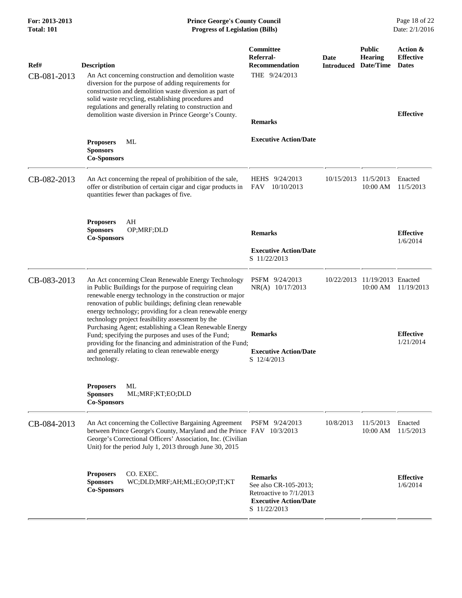| For: 2013-2013<br><b>Total: 101</b> | <b>Prince George's County Council</b><br><b>Progress of Legislation (Bills)</b>                                                                                                                                                                                                                                                                                                                                                                                                                                                                                                                            |                                                                                                                    |                                     |                                | Page 18 of 22<br>Date: 2/1/2016                                  |
|-------------------------------------|------------------------------------------------------------------------------------------------------------------------------------------------------------------------------------------------------------------------------------------------------------------------------------------------------------------------------------------------------------------------------------------------------------------------------------------------------------------------------------------------------------------------------------------------------------------------------------------------------------|--------------------------------------------------------------------------------------------------------------------|-------------------------------------|--------------------------------|------------------------------------------------------------------|
| Ref#<br>CB-081-2013                 | <b>Description</b><br>An Act concerning construction and demolition waste<br>diversion for the purpose of adding requirements for<br>construction and demolition waste diversion as part of<br>solid waste recycling, establishing procedures and<br>regulations and generally relating to construction and<br>demolition waste diversion in Prince George's County.                                                                                                                                                                                                                                       | Committee<br>Referral-<br><b>Recommendation</b><br>THE 9/24/2013<br><b>Remarks</b>                                 | Date<br><b>Introduced Date/Time</b> | <b>Public</b><br>Hearing       | Action &<br><b>Effective</b><br><b>Dates</b><br><b>Effective</b> |
|                                     | МL<br><b>Proposers</b><br><b>Sponsors</b><br><b>Co-Sponsors</b>                                                                                                                                                                                                                                                                                                                                                                                                                                                                                                                                            | <b>Executive Action/Date</b>                                                                                       |                                     |                                |                                                                  |
| CB-082-2013                         | An Act concerning the repeal of prohibition of the sale,<br>offer or distribution of certain cigar and cigar products in<br>quantities fewer than packages of five.                                                                                                                                                                                                                                                                                                                                                                                                                                        | HEHS 9/24/2013<br>FAV<br>10/10/2013                                                                                | 10/15/2013                          | 11/5/2013<br>10:00 AM          | Enacted<br>11/5/2013                                             |
|                                     | AH<br><b>Proposers</b><br><b>Sponsors</b><br>OP;MRF;DLD<br><b>Co-Sponsors</b>                                                                                                                                                                                                                                                                                                                                                                                                                                                                                                                              | <b>Remarks</b><br><b>Executive Action/Date</b><br>S 11/22/2013                                                     |                                     |                                | <b>Effective</b><br>1/6/2014                                     |
| CB-083-2013                         | An Act concerning Clean Renewable Energy Technology<br>in Public Buildings for the purpose of requiring clean<br>renewable energy technology in the construction or major<br>renovation of public buildings; defining clean renewable<br>energy technology; providing for a clean renewable energy<br>technology project feasibility assessment by the<br>Purchasing Agent; establishing a Clean Renewable Energy<br>Fund; specifying the purposes and uses of the Fund;<br>providing for the financing and administration of the Fund;<br>and generally relating to clean renewable energy<br>technology. | PSFM 9/24/2013<br>NR(A) 10/17/2013<br><b>Remarks</b><br><b>Executive Action/Date</b><br>S 12/4/2013                | 10/22/2013                          | 11/19/2013 Enacted<br>10:00 AM | 11/19/2013<br><b>Effective</b><br>1/21/2014                      |
|                                     | <b>Proposers</b><br>ML<br>ML;MRF;KT;EO;DLD<br><b>Sponsors</b><br><b>Co-Sponsors</b>                                                                                                                                                                                                                                                                                                                                                                                                                                                                                                                        |                                                                                                                    |                                     |                                |                                                                  |
| CB-084-2013                         | An Act concerning the Collective Bargaining Agreement<br>between Prince George's County, Maryland and the Prince FAV 10/3/2013<br>George's Correctional Officers' Association, Inc. (Civilian<br>Unit) for the period July 1, 2013 through June 30, 2015                                                                                                                                                                                                                                                                                                                                                   | PSFM 9/24/2013                                                                                                     | 10/8/2013                           | 11/5/2013<br>10:00 AM          | Enacted<br>11/5/2013                                             |
|                                     | CO. EXEC.<br><b>Proposers</b><br>WC;DLD;MRF;AH;ML;EO;OP;IT;KT<br><b>Sponsors</b><br><b>Co-Sponsors</b>                                                                                                                                                                                                                                                                                                                                                                                                                                                                                                     | <b>Remarks</b><br>See also CR-105-2013;<br>Retroactive to 7/1/2013<br><b>Executive Action/Date</b><br>S 11/22/2013 |                                     |                                | <b>Effective</b><br>1/6/2014                                     |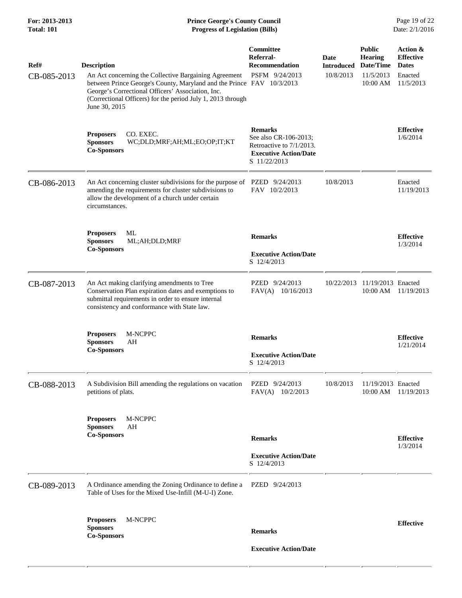| For: 2013-2013<br><b>Total: 101</b> | <b>Prince George's County Council</b><br><b>Progress of Legislation (Bills)</b>                                                                                                                                                                                                           |                                                                                                                     |                                               |                                                                       | Page 19 of 22<br>Date: 2/1/2016                                      |
|-------------------------------------|-------------------------------------------------------------------------------------------------------------------------------------------------------------------------------------------------------------------------------------------------------------------------------------------|---------------------------------------------------------------------------------------------------------------------|-----------------------------------------------|-----------------------------------------------------------------------|----------------------------------------------------------------------|
| Ref#<br>CB-085-2013                 | <b>Description</b><br>An Act concerning the Collective Bargaining Agreement<br>between Prince George's County, Maryland and the Prince FAV 10/3/2013<br>George's Correctional Officers' Association, Inc.<br>(Correctional Officers) for the period July 1, 2013 through<br>June 30, 2015 | Committee<br>Referral-<br><b>Recommendation</b><br>PSFM 9/24/2013                                                   | <b>Date</b><br><b>Introduced</b><br>10/8/2013 | <b>Public</b><br><b>Hearing</b><br>Date/Time<br>11/5/2013<br>10:00 AM | Action &<br><b>Effective</b><br><b>Dates</b><br>Enacted<br>11/5/2013 |
|                                     | CO. EXEC.<br><b>Proposers</b><br><b>Sponsors</b><br>WC;DLD;MRF;AH;ML;EO;OP;IT;KT<br><b>Co-Sponsors</b>                                                                                                                                                                                    | <b>Remarks</b><br>See also CR-106-2013;<br>Retroactive to 7/1/2013.<br><b>Executive Action/Date</b><br>S 11/22/2013 |                                               |                                                                       | <b>Effective</b><br>1/6/2014                                         |
| CB-086-2013                         | An Act concerning cluster subdivisions for the purpose of PZED 9/24/2013<br>amending the requirements for cluster subdivisions to<br>allow the development of a church under certain<br>circumstances.                                                                                    | FAV 10/2/2013                                                                                                       | 10/8/2013                                     |                                                                       | Enacted<br>11/19/2013                                                |
|                                     | ML<br><b>Proposers</b><br><b>Sponsors</b><br>ML;AH;DLD;MRF<br><b>Co-Sponsors</b>                                                                                                                                                                                                          | <b>Remarks</b><br><b>Executive Action/Date</b><br>S 12/4/2013                                                       |                                               |                                                                       | <b>Effective</b><br>1/3/2014                                         |
| CB-087-2013                         | An Act making clarifying amendments to Tree<br>Conservation Plan expiration dates and exemptions to<br>submittal requirements in order to ensure internal<br>consistency and conformance with State law.                                                                                  | PZED 9/24/2013<br>$FAV(A)$ 10/16/2013                                                                               | 10/22/2013                                    | 11/19/2013 Enacted<br>10:00 AM                                        | 11/19/2013                                                           |
|                                     | M-NCPPC<br><b>Proposers</b><br><b>Sponsors</b><br>AH<br><b>Co-Sponsors</b>                                                                                                                                                                                                                | <b>Remarks</b><br><b>Executive Action/Date</b><br>S 12/4/2013                                                       |                                               |                                                                       | <b>Effective</b><br>1/21/2014                                        |
| CB-088-2013                         | A Subdivision Bill amending the regulations on vacation<br>petitions of plats.                                                                                                                                                                                                            | PZED 9/24/2013<br>FAV(A) 10/2/2013                                                                                  | 10/8/2013                                     | 11/19/2013 Enacted<br>10:00 AM                                        | 11/19/2013                                                           |
|                                     | M-NCPPC<br><b>Proposers</b><br><b>Sponsors</b><br>AH<br><b>Co-Sponsors</b>                                                                                                                                                                                                                | <b>Remarks</b><br><b>Executive Action/Date</b><br>S 12/4/2013                                                       |                                               |                                                                       | <b>Effective</b><br>1/3/2014                                         |
| CB-089-2013                         | A Ordinance amending the Zoning Ordinance to define a<br>Table of Uses for the Mixed Use-Infill (M-U-I) Zone.                                                                                                                                                                             | PZED 9/24/2013                                                                                                      |                                               |                                                                       |                                                                      |
|                                     | <b>Proposers</b><br>M-NCPPC<br><b>Sponsors</b><br><b>Co-Sponsors</b>                                                                                                                                                                                                                      | <b>Remarks</b><br><b>Executive Action/Date</b>                                                                      |                                               |                                                                       | <b>Effective</b>                                                     |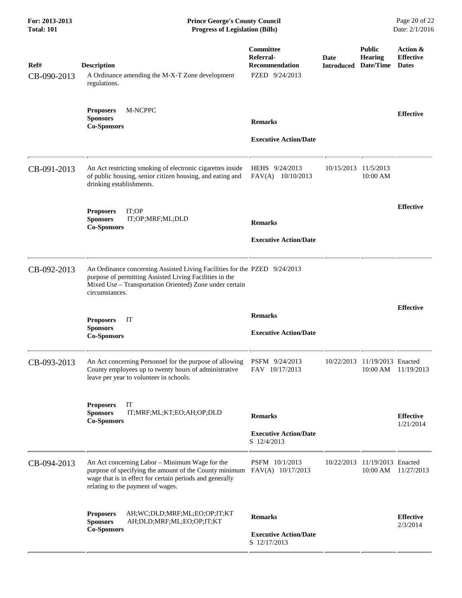| Ref#<br>CB-090-2013 | <b>Description</b><br>A Ordinance amending the M-X-T Zone development<br>regulations.                                                                                                                                       | Committee<br>Referral-<br><b>Recommendation</b><br>PZED 9/24/2013 | <b>Date</b><br><b>Introduced</b> | <b>Public</b><br><b>Hearing</b><br>Date/Time | Action &<br><b>Effective</b><br><b>Dates</b> |
|---------------------|-----------------------------------------------------------------------------------------------------------------------------------------------------------------------------------------------------------------------------|-------------------------------------------------------------------|----------------------------------|----------------------------------------------|----------------------------------------------|
|                     | M-NCPPC<br><b>Proposers</b><br><b>Sponsors</b><br><b>Co-Sponsors</b>                                                                                                                                                        | <b>Remarks</b><br><b>Executive Action/Date</b>                    |                                  |                                              | <b>Effective</b>                             |
| CB-091-2013         | An Act restricting smoking of electronic cigarettes inside<br>of public housing, senior citizen housing, and eating and<br>drinking establishments.                                                                         | HEHS 9/24/2013<br>FAV(A) 10/10/2013                               | 10/15/2013                       | 11/5/2013<br>10:00 AM                        |                                              |
|                     | <b>Proposers</b><br>IT;OP<br><b>Sponsors</b><br>IT;OP;MRF;ML;DLD<br><b>Co-Sponsors</b>                                                                                                                                      | <b>Remarks</b><br><b>Executive Action/Date</b>                    |                                  |                                              | <b>Effective</b>                             |
| CB-092-2013         | An Ordinance concerning Assisted Living Facilities for the PZED 9/24/2013<br>purpose of permitting Assisted Living Facilities in the<br>Mixed Use - Transportation Oriented) Zone under certain<br>circumstances.           |                                                                   |                                  |                                              |                                              |
|                     | <b>Proposers</b><br>IT<br><b>Sponsors</b><br><b>Co-Sponsors</b>                                                                                                                                                             | <b>Remarks</b><br><b>Executive Action/Date</b>                    |                                  |                                              | <b>Effective</b>                             |
| CB-093-2013         | An Act concerning Personnel for the purpose of allowing<br>County employees up to twenty hours of administrative<br>leave per year to volunteer in schools.                                                                 | PSFM 9/24/2013<br>FAV 10/17/2013                                  | 10/22/2013                       | 11/19/2013 Enacted<br>10:00 AM               | 11/19/2013                                   |
|                     | IT<br><b>Proposers</b><br><b>Sponsors</b><br>IT;MRF;ML;KT;EO;AH;OP;DLD<br><b>Co-Sponsors</b>                                                                                                                                | <b>Remarks</b><br><b>Executive Action/Date</b><br>S 12/4/2013     |                                  |                                              | <b>Effective</b><br>1/21/2014                |
| CB-094-2013         | An Act concerning Labor - Minimum Wage for the<br>purpose of specifying the amount of the County minimum FAV(A) 10/17/2013<br>wage that is in effect for certain periods and generally<br>relating to the payment of wages. | PSFM 10/1/2013                                                    | 10/22/2013                       | 11/19/2013 Enacted<br>10:00 AM               | 11/27/2013                                   |
|                     | AH; WC; DLD; MRF; ML; EO; OP; IT; KT<br><b>Proposers</b><br><b>Sponsors</b><br>AH;DLD;MRF;ML;EO;OP;IT;KT<br><b>Co-Sponsors</b>                                                                                              | <b>Remarks</b><br><b>Executive Action/Date</b><br>S 12/17/2013    |                                  |                                              | <b>Effective</b><br>2/3/2014                 |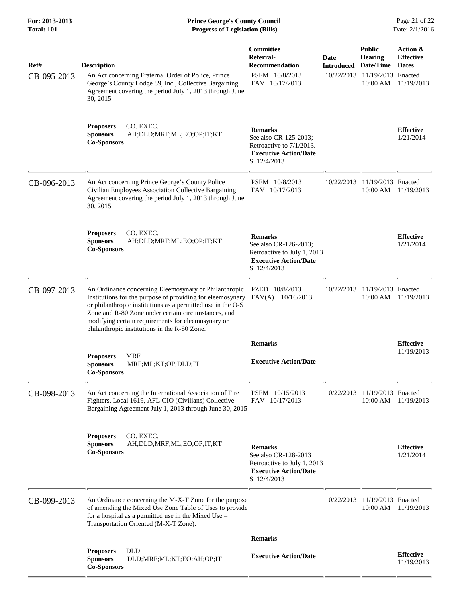**For: 2013-2013 Prince George's County Council** Page 21 of 22<br> **Prince George's County Council** Page 21 of 22<br> **Progress of Legislation (Bills)** Date: 2/1/2016 **Total: 101 Progress of Legislation (Bills)** 

| Ref#        | <b>Description</b>                                                                                                                                                                                                                                                                                                                              | Committee<br>Referral-<br>Recommendation                                                                              | Date<br><b>Introduced</b> | <b>Public</b><br><b>Hearing</b><br>Date/Time | Action &<br><b>Effective</b><br><b>Dates</b> |
|-------------|-------------------------------------------------------------------------------------------------------------------------------------------------------------------------------------------------------------------------------------------------------------------------------------------------------------------------------------------------|-----------------------------------------------------------------------------------------------------------------------|---------------------------|----------------------------------------------|----------------------------------------------|
| CB-095-2013 | An Act concerning Fraternal Order of Police, Prince<br>George's County Lodge 89, Inc., Collective Bargaining<br>Agreement covering the period July 1, 2013 through June<br>30, 2015                                                                                                                                                             | PSFM 10/8/2013<br>FAV 10/17/2013                                                                                      | 10/22/2013                | 11/19/2013 Enacted<br>10:00 AM               | 11/19/2013                                   |
|             | CO. EXEC.<br><b>Proposers</b><br><b>Sponsors</b><br>AH;DLD;MRF;ML;EO;OP;IT;KT<br><b>Co-Sponsors</b>                                                                                                                                                                                                                                             | <b>Remarks</b><br>See also CR-125-2013;<br>Retroactive to 7/1/2013.<br><b>Executive Action/Date</b><br>S 12/4/2013    |                           |                                              | <b>Effective</b><br>1/21/2014                |
| CB-096-2013 | An Act concerning Prince George's County Police<br>Civilian Employees Association Collective Bargaining<br>Agreement covering the period July 1, 2013 through June<br>30, 2015                                                                                                                                                                  | PSFM 10/8/2013<br>FAV 10/17/2013                                                                                      | 10/22/2013                | 11/19/2013 Enacted<br>$10:00$ AM             | 11/19/2013                                   |
|             | CO. EXEC.<br><b>Proposers</b><br><b>Sponsors</b><br>AH;DLD;MRF;ML;EO;OP;IT;KT<br><b>Co-Sponsors</b>                                                                                                                                                                                                                                             | <b>Remarks</b><br>See also CR-126-2013;<br>Retroactive to July 1, 2013<br><b>Executive Action/Date</b><br>S 12/4/2013 |                           |                                              | <b>Effective</b><br>1/21/2014                |
| CB-097-2013 | An Ordinance concerning Eleemosynary or Philanthropic<br>Institutions for the purpose of providing for eleemosynary<br>or philanthropic institutions as a permitted use in the O-S<br>Zone and R-80 Zone under certain circumstances, and<br>modifying certain requirements for eleemosynary or<br>philanthropic institutions in the R-80 Zone. | PZED 10/8/2013<br>FAV(A)<br>10/16/2013                                                                                | 10/22/2013                | 11/19/2013 Enacted<br>10:00 AM               | 11/19/2013                                   |
|             |                                                                                                                                                                                                                                                                                                                                                 | <b>Remarks</b>                                                                                                        |                           |                                              | <b>Effective</b><br>11/19/2013               |
|             | <b>Proposers</b><br>MRF<br><b>Sponsors</b><br>MRF;ML;KT;OP;DLD;IT<br><b>Co-Sponsors</b>                                                                                                                                                                                                                                                         | <b>Executive Action/Date</b>                                                                                          |                           |                                              |                                              |
| CB-098-2013 | An Act concerning the International Association of Fire<br>Fighters, Local 1619, AFL-CIO (Civilians) Collective<br>Bargaining Agreement July 1, 2013 through June 30, 2015                                                                                                                                                                      | PSFM 10/15/2013<br>FAV 10/17/2013                                                                                     |                           | 10/22/2013 11/19/2013 Enacted<br>10:00 AM    | 11/19/2013                                   |
|             | <b>Proposers</b><br>CO. EXEC.<br><b>Sponsors</b><br>AH;DLD;MRF;ML;EO;OP;IT;KT<br><b>Co-Sponsors</b>                                                                                                                                                                                                                                             | <b>Remarks</b><br>See also CR-128-2013<br>Retroactive to July 1, 2013<br><b>Executive Action/Date</b><br>S 12/4/2013  |                           |                                              | <b>Effective</b><br>1/21/2014                |
| CB-099-2013 | An Ordinance concerning the M-X-T Zone for the purpose<br>of amending the Mixed Use Zone Table of Uses to provide<br>for a hospital as a permitted use in the Mixed Use -<br>Transportation Oriented (M-X-T Zone).                                                                                                                              |                                                                                                                       |                           | 10/22/2013 11/19/2013 Enacted<br>10:00 AM    | 11/19/2013                                   |
|             |                                                                                                                                                                                                                                                                                                                                                 | <b>Remarks</b>                                                                                                        |                           |                                              |                                              |
|             | <b>Proposers</b><br><b>DLD</b><br><b>Sponsors</b><br>DLD;MRF;ML;KT;EO;AH;OP;IT<br><b>Co-Sponsors</b>                                                                                                                                                                                                                                            | <b>Executive Action/Date</b>                                                                                          |                           |                                              | <b>Effective</b><br>11/19/2013               |